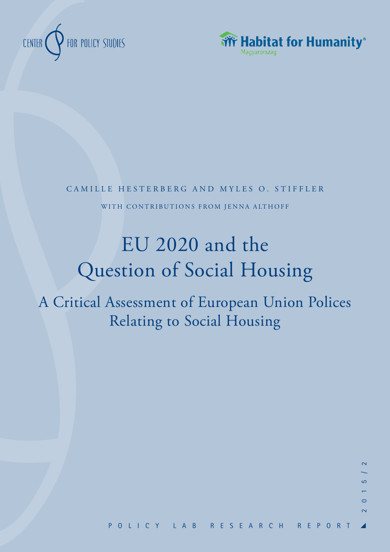



CAMILLE HESTERBERG AND MYLES O. STIFFLER WITH CONTRIBUTIONS FROM JENNA ALTHOFF

# EU 2020 and the Question of Social Housing

A Critical Assessment of European Union Polices Relating to Social Housing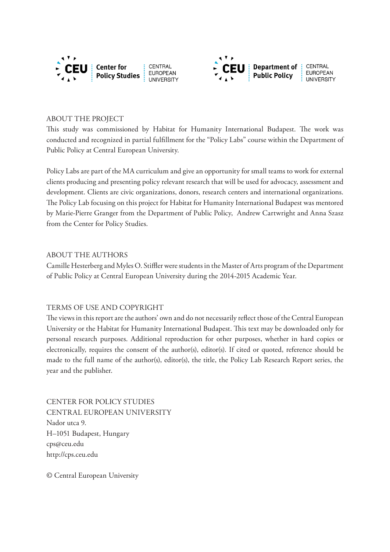



#### ABOUT THE PROJECT

This study was commissioned by Habitat for Humanity International Budapest. The work was conducted and recognized in partial fulfillment for the "Policy Labs" course within the Department of Public Policy at Central European University.

Policy Labs are part of the MA curriculum and give an opportunity for small teams to work for external clients producing and presenting policy relevant research that will be used for advocacy, assessment and development. Clients are civic organizations, donors, research centers and international organizations. The Policy Lab focusing on this project for Habitat for Humanity International Budapest was mentored by Marie-Pierre Granger from the Department of Public Policy, Andrew Cartwright and Anna Szasz from the Center for Policy Studies.

## ABOUT THE AUTHORS

Camille Hesterberg and Myles O. Stiffler were students in the Master of Arts program of the Department of Public Policy at Central European University during the 2014-2015 Academic Year.

## TERMS OF USE AND COPYRIGHT

The views in this report are the authors' own and do not necessarily reflect those of the Central European University or the Habitat for Humanity International Budapest. This text may be downloaded only for personal research purposes. Additional reproduction for other purposes, whether in hard copies or electronically, requires the consent of the author(s), editor(s). If cited or quoted, reference should be made to the full name of the author(s), editor(s), the title, the Policy Lab Research Report series, the year and the publisher.

CENTER FOR POLICY STUDIES CENTRAL EUROPEAN UNIVERSITY Nador utca 9. H–1051 Budapest, Hungary cps@ceu.edu http://cps.ceu.edu

© Central European University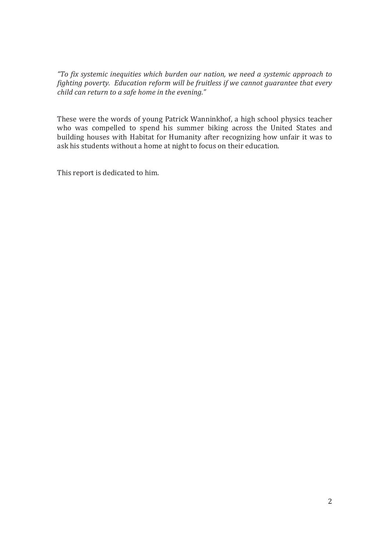*"To fix systemic inequities which burden our nation, we need a systemic approach to fighting poverty. Education reform will be fruitless if we cannot guarantee that every child can return to a safe home in the evening."* 

These were the words of young Patrick Wanninkhof, a high school physics teacher who was compelled to spend his summer biking across the United States and building houses with Habitat for Humanity after recognizing how unfair it was to ask his students without a home at night to focus on their education.

This report is dedicated to him.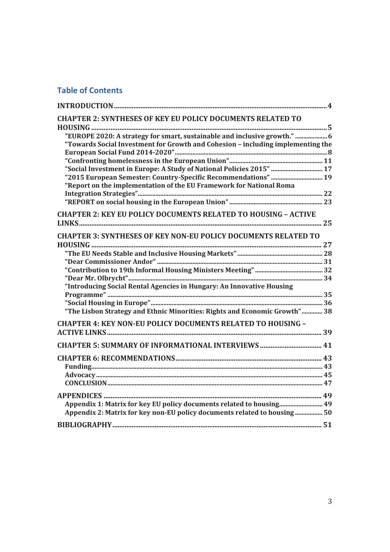# **Table of Contents**

| <b>CHAPTER 2: SYNTHESES OF KEY EU POLICY DOCUMENTS RELATED TO</b>               |  |
|---------------------------------------------------------------------------------|--|
| "EUROPE 2020: A strategy for smart, sustainable and inclusive growth."          |  |
| "Towards Social Investment for Growth and Cohesion - including implementing the |  |
|                                                                                 |  |
|                                                                                 |  |
| "Social Investment in Europe: A Study of National Policies 2015"  17            |  |
| "2015 European Semester: Country-Specific Recommendations"  19                  |  |
| "Report on the implementation of the EU Framework for National Roma             |  |
|                                                                                 |  |
|                                                                                 |  |
| <b>CHAPTER 2: KEY EU POLICY DOCUMENTS RELATED TO HOUSING - ACTIVE</b>           |  |
|                                                                                 |  |
| <b>CHAPTER 3: SYNTHESES OF KEY NON-EU POLICY DOCUMENTS RELATED TO</b>           |  |
|                                                                                 |  |
|                                                                                 |  |
|                                                                                 |  |
|                                                                                 |  |
| "Introducing Social Rental Agencies in Hungary: An Innovative Housing           |  |
|                                                                                 |  |
|                                                                                 |  |
| "The Lisbon Strategy and Ethnic Minorities: Rights and Economic Growth" 38      |  |
|                                                                                 |  |
| <b>CHAPTER 4: KEY NON-EU POLICY DOCUMENTS RELATED TO HOUSING -</b>              |  |
|                                                                                 |  |
| <b>CHAPTER 5: SUMMARY OF INFORMATIONAL INTERVIEWS </b> 41                       |  |
|                                                                                 |  |
|                                                                                 |  |
|                                                                                 |  |
|                                                                                 |  |
|                                                                                 |  |
|                                                                                 |  |
| Appendix 1: Matrix for key EU policy documents related to housing 49            |  |
| Appendix 2: Matrix for key non-EU policy documents related to housing  50       |  |
|                                                                                 |  |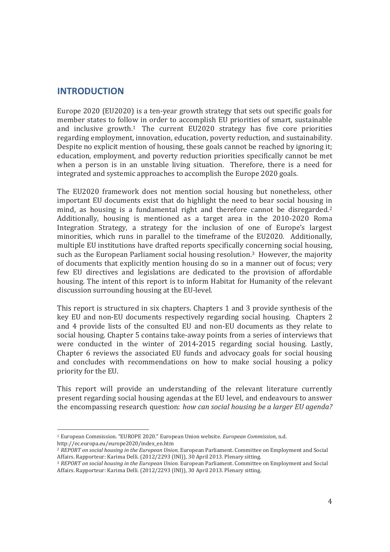## **INTRODUCTION**

Europe 2020 (EU2020) is a ten-year growth strategy that sets out specific goals for member states to follow in order to accomplish EU priorities of smart, sustainable and inclusive growth.1 The current EU2020 strategy has five core priorities regarding employment, innovation, education, poverty reduction, and sustainability. Despite no explicit mention of housing, these goals cannot be reached by ignoring it; education, employment, and poverty reduction priorities specifically cannot be met when a person is in an unstable living situation. Therefore, there is a need for integrated and systemic approaches to accomplish the Europe 2020 goals.

The EU2020 framework does not mention social housing but nonetheless, other important EU documents exist that do highlight the need to bear social housing in mind, as housing is a fundamental right and therefore cannot be disregarded.<sup>2</sup> Additionally, housing is mentioned as a target area in the 2010-2020 Roma Integration Strategy, a strategy for the inclusion of one of Europe's largest minorities, which runs in parallel to the timeframe of the EU2020. Additionally, multiple EU institutions have drafted reports specifically concerning social housing, such as the European Parliament social housing resolution.<sup>3</sup> However, the majority of documents that explicitly mention housing do so in a manner out of focus; very few EU directives and legislations are dedicated to the provision of affordable housing. The intent of this report is to inform Habitat for Humanity of the relevant discussion surrounding housing at the EU-level.

This report is structured in six chapters. Chapters 1 and 3 provide synthesis of the key EU and non-EU documents respectively regarding social housing. Chapters 2 and 4 provide lists of the consulted EU and non-EU documents as they relate to social housing. Chapter 5 contains take-away points from a series of interviews that were conducted in the winter of 2014-2015 regarding social housing. Lastly, Chapter 6 reviews the associated EU funds and advocacy goals for social housing and concludes with recommendations on how to make social housing a policy priority for the EU.

This report will provide an understanding of the relevant literature currently present regarding social housing agendas at the EU level, and endeavours to answer the encompassing research question: *how can social housing be a larger EU agenda?*

l 1 European Commission. "EUROPE 2020." European Union website. *European Commission*, n.d. http://ec.europa.eu/europe2020/index\_en.htm

<sup>2</sup> *REPORT on social housing in the European Union*. European Parliament. Committee on Employment and Social

<sup>&</sup>lt;sup>3</sup> REPORT on social housing in the European Union. European Parliament. Committee on Employment and Social Affairs. Rapporteur: Karima Delli. (2012/2293 (INI)), 30 April 2013. Plenary sitting.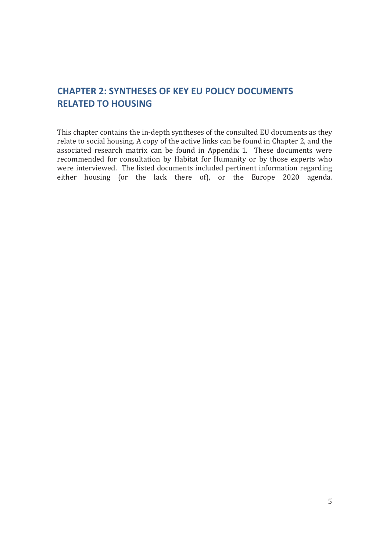# **CHAPTER 2: SYNTHESES OF KEY EU POLICY DOCUMENTS RELATED TO HOUSING**

This chapter contains the in-depth syntheses of the consulted EU documents as they relate to social housing. A copy of the active links can be found in Chapter 2, and the associated research matrix can be found in Appendix 1. These documents were recommended for consultation by Habitat for Humanity or by those experts who were interviewed. The listed documents included pertinent information regarding either housing (or the lack there of), or the Europe 2020 agenda.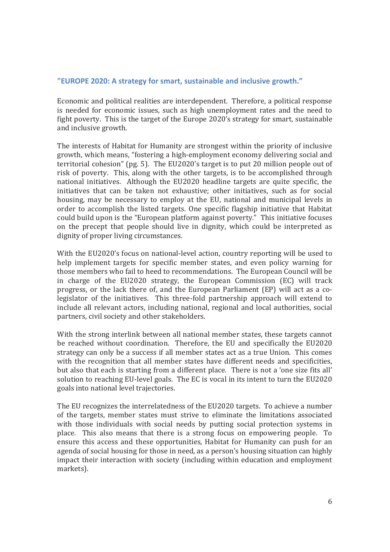#### **"EUROPE 2020: A strategy for smart, sustainable and inclusive growth."**

Economic and political realities are interdependent. Therefore, a political response is needed for economic issues, such as high unemployment rates and the need to fight poverty. This is the target of the Europe 2020's strategy for smart, sustainable and inclusive growth.

The interests of Habitat for Humanity are strongest within the priority of inclusive growth, which means, "fostering a high-employment economy delivering social and territorial cohesion" (pg. 5). The EU2020's target is to put 20 million people out of risk of poverty. This, along with the other targets, is to be accomplished through national initiatives. Although the EU2020 headline targets are quite specific, the initiatives that can be taken not exhaustive; other initiatives, such as for social housing, may be necessary to employ at the EU, national and municipal levels in order to accomplish the listed targets. One specific flagship initiative that Habitat could build upon is the "European platform against poverty." This initiative focuses on the precept that people should live in dignity, which could be interpreted as dignity of proper living circumstances.

With the EU2020's focus on national-level action, country reporting will be used to help implement targets for specific member states, and even policy warning for those members who fail to heed to recommendations. The European Council will be in charge of the EU2020 strategy, the European Commission (EC) will track progress, or the lack there of, and the European Parliament (EP) will act as a colegislator of the initiatives. This three-fold partnership approach will extend to include all relevant actors, including national, regional and local authorities, social partners, civil society and other stakeholders.

With the strong interlink between all national member states, these targets cannot be reached without coordination. Therefore, the EU and specifically the EU2020 strategy can only be a success if all member states act as a true Union. This comes with the recognition that all member states have different needs and specificities, but also that each is starting from a different place. There is not a 'one size fits all' solution to reaching EU-level goals. The EC is vocal in its intent to turn the EU2020 goals into national level trajectories.

The EU recognizes the interrelatedness of the EU2020 targets. To achieve a number of the targets, member states must strive to eliminate the limitations associated with those individuals with social needs by putting social protection systems in place. This also means that there is a strong focus on empowering people. To ensure this access and these opportunities, Habitat for Humanity can push for an agenda of social housing for those in need, as a person's housing situation can highly impact their interaction with society (including within education and employment markets).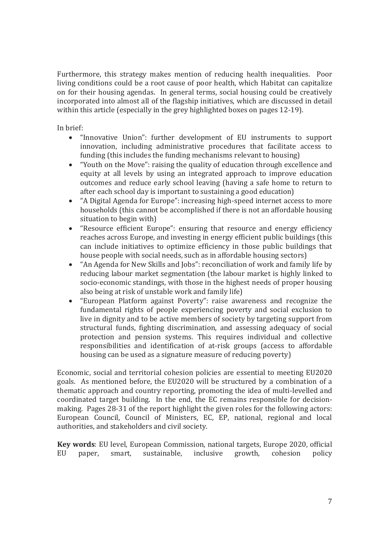Furthermore, this strategy makes mention of reducing health inequalities. Poor living conditions could be a root cause of poor health, which Habitat can capitalize on for their housing agendas. In general terms, social housing could be creatively incorporated into almost all of the flagship initiatives, which are discussed in detail within this article (especially in the grey highlighted boxes on pages 12-19).

In brief:

- "Innovative Union": further development of EU instruments to support innovation, including administrative procedures that facilitate access to funding (this includes the funding mechanisms relevant to housing)
- "Youth on the Move": raising the quality of education through excellence and equity at all levels by using an integrated approach to improve education outcomes and reduce early school leaving (having a safe home to return to after each school day is important to sustaining a good education)
- "A Digital Agenda for Europe": increasing high-speed internet access to more households (this cannot be accomplished if there is not an affordable housing situation to begin with)
- "Resource efficient Europe": ensuring that resource and energy efficiency reaches across Europe, and investing in energy efficient public buildings (this can include initiatives to optimize efficiency in those public buildings that house people with social needs, such as in affordable housing sectors)
- "An Agenda for New Skills and Jobs": reconciliation of work and family life by reducing labour market segmentation (the labour market is highly linked to socio-economic standings, with those in the highest needs of proper housing also being at risk of unstable work and family life)
- "European Platform against Poverty": raise awareness and recognize the fundamental rights of people experiencing poverty and social exclusion to live in dignity and to be active members of society by targeting support from structural funds, fighting discrimination, and assessing adequacy of social protection and pension systems. This requires individual and collective responsibilities and identification of at-risk groups (access to affordable housing can be used as a signature measure of reducing poverty)

Economic, social and territorial cohesion policies are essential to meeting EU2020 goals. As mentioned before, the EU2020 will be structured by a combination of a thematic approach and country reporting, promoting the idea of multi-levelled and coordinated target building. In the end, the EC remains responsible for decisionmaking. Pages 28-31 of the report highlight the given roles for the following actors: European Council, Council of Ministers, EC, EP, national, regional and local authorities, and stakeholders and civil society.

**Key words**: EU level, European Commission, national targets, Europe 2020, official EU paper, smart, sustainable, inclusive growth, cohesion policy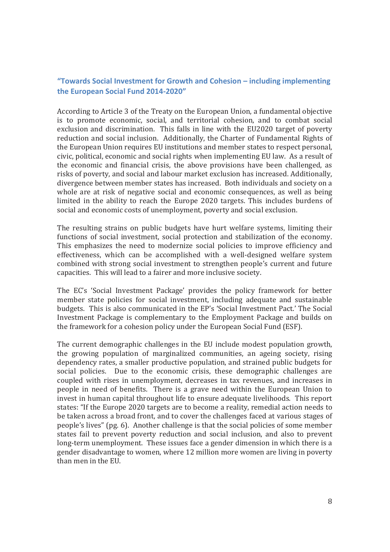## **"Towards Social Investment for Growth and Cohesion – including implementing the European Social Fund 2014-2020"**

According to Article 3 of the Treaty on the European Union, a fundamental objective is to promote economic, social, and territorial cohesion, and to combat social exclusion and discrimination. This falls in line with the EU2020 target of poverty reduction and social inclusion. Additionally, the Charter of Fundamental Rights of the European Union requires EU institutions and member states to respect personal, civic, political, economic and social rights when implementing EU law. As a result of the economic and financial crisis, the above provisions have been challenged, as risks of poverty, and social and labour market exclusion has increased. Additionally, divergence between member states has increased. Both individuals and society on a whole are at risk of negative social and economic consequences, as well as being limited in the ability to reach the Europe 2020 targets. This includes burdens of social and economic costs of unemployment, poverty and social exclusion.

The resulting strains on public budgets have hurt welfare systems, limiting their functions of social investment, social protection and stabilization of the economy. This emphasizes the need to modernize social policies to improve efficiency and effectiveness, which can be accomplished with a well-designed welfare system combined with strong social investment to strengthen people's current and future capacities. This will lead to a fairer and more inclusive society.

The EC's 'Social Investment Package' provides the policy framework for better member state policies for social investment, including adequate and sustainable budgets. This is also communicated in the EP's 'Social Investment Pact.' The Social Investment Package is complementary to the Employment Package and builds on the framework for a cohesion policy under the European Social Fund (ESF).

The current demographic challenges in the EU include modest population growth, the growing population of marginalized communities, an ageing society, rising dependency rates, a smaller productive population, and strained public budgets for social policies. Due to the economic crisis, these demographic challenges are coupled with rises in unemployment, decreases in tax revenues, and increases in people in need of benefits. There is a grave need within the European Union to invest in human capital throughout life to ensure adequate livelihoods. This report states: "If the Europe 2020 targets are to become a reality, remedial action needs to be taken across a broad front, and to cover the challenges faced at various stages of people's lives" (pg. 6). Another challenge is that the social policies of some member states fail to prevent poverty reduction and social inclusion, and also to prevent long-term unemployment. These issues face a gender dimension in which there is a gender disadvantage to women, where 12 million more women are living in poverty than men in the EU.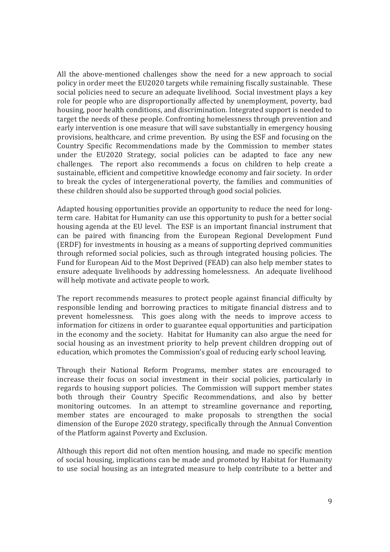All the above-mentioned challenges show the need for a new approach to social policy in order meet the EU2020 targets while remaining fiscally sustainable. These social policies need to secure an adequate livelihood. Social investment plays a key role for people who are disproportionally affected by unemployment, poverty, bad housing, poor health conditions, and discrimination. Integrated support is needed to target the needs of these people. Confronting homelessness through prevention and early intervention is one measure that will save substantially in emergency housing provisions, healthcare, and crime prevention. By using the ESF and focusing on the Country Specific Recommendations made by the Commission to member states under the EU2020 Strategy, social policies can be adapted to face any new challenges. The report also recommends a focus on children to help create a sustainable, efficient and competitive knowledge economy and fair society. In order to break the cycles of intergenerational poverty, the families and communities of these children should also be supported through good social policies.

Adapted housing opportunities provide an opportunity to reduce the need for longterm care. Habitat for Humanity can use this opportunity to push for a better social housing agenda at the EU level. The ESF is an important financial instrument that can be paired with financing from the European Regional Development Fund (ERDF) for investments in housing as a means of supporting deprived communities through reformed social policies, such as through integrated housing policies. The Fund for European Aid to the Most Deprived (FEAD) can also help member states to ensure adequate livelihoods by addressing homelessness. An adequate livelihood will help motivate and activate people to work.

The report recommends measures to protect people against financial difficulty by responsible lending and borrowing practices to mitigate financial distress and to prevent homelessness. This goes along with the needs to improve access to information for citizens in order to guarantee equal opportunities and participation in the economy and the society. Habitat for Humanity can also argue the need for social housing as an investment priority to help prevent children dropping out of education, which promotes the Commission's goal of reducing early school leaving.

Through their National Reform Programs, member states are encouraged to increase their focus on social investment in their social policies, particularly in regards to housing support policies. The Commission will support member states both through their Country Specific Recommendations, and also by better monitoring outcomes. In an attempt to streamline governance and reporting, member states are encouraged to make proposals to strengthen the social dimension of the Europe 2020 strategy, specifically through the Annual Convention of the Platform against Poverty and Exclusion.

Although this report did not often mention housing, and made no specific mention of social housing, implications can be made and promoted by Habitat for Humanity to use social housing as an integrated measure to help contribute to a better and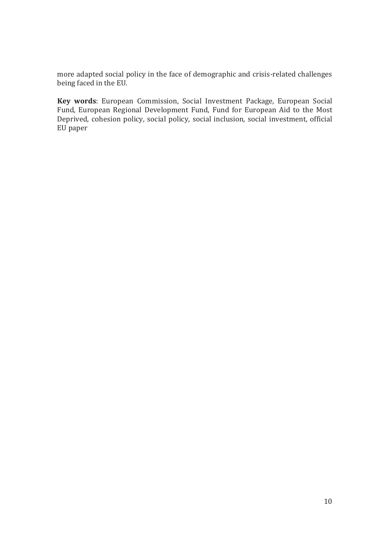more adapted social policy in the face of demographic and crisis-related challenges being faced in the EU.

**Key words**: European Commission, Social Investment Package, European Social Fund, European Regional Development Fund, Fund for European Aid to the Most Deprived, cohesion policy, social policy, social inclusion, social investment, official EU paper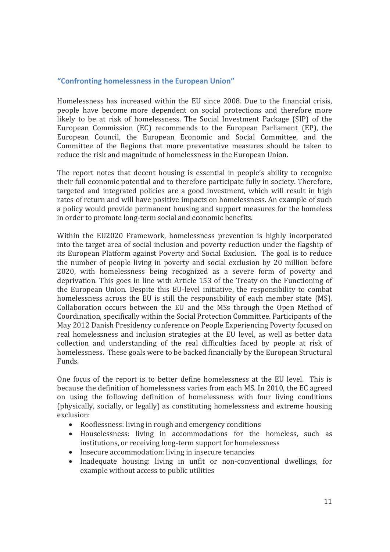#### **"Confronting homelessness in the European Union"**

Homelessness has increased within the EU since 2008. Due to the financial crisis, people have become more dependent on social protections and therefore more likely to be at risk of homelessness. The Social Investment Package (SIP) of the European Commission (EC) recommends to the European Parliament (EP), the European Council, the European Economic and Social Committee, and the Committee of the Regions that more preventative measures should be taken to reduce the risk and magnitude of homelessness in the European Union.

The report notes that decent housing is essential in people's ability to recognize their full economic potential and to therefore participate fully in society. Therefore, targeted and integrated policies are a good investment, which will result in high rates of return and will have positive impacts on homelessness. An example of such a policy would provide permanent housing and support measures for the homeless in order to promote long-term social and economic benefits.

Within the EU2020 Framework, homelessness prevention is highly incorporated into the target area of social inclusion and poverty reduction under the flagship of its European Platform against Poverty and Social Exclusion. The goal is to reduce the number of people living in poverty and social exclusion by 20 million before 2020, with homelessness being recognized as a severe form of poverty and deprivation. This goes in line with Article 153 of the Treaty on the Functioning of the European Union. Despite this EU-level initiative, the responsibility to combat homelessness across the EU is still the responsibility of each member state (MS). Collaboration occurs between the EU and the MSs through the Open Method of Coordination, specifically within the Social Protection Committee. Participants of the May 2012 Danish Presidency conference on People Experiencing Poverty focused on real homelessness and inclusion strategies at the EU level, as well as better data collection and understanding of the real difficulties faced by people at risk of homelessness. These goals were to be backed financially by the European Structural Funds.

One focus of the report is to better define homelessness at the EU level. This is because the definition of homelessness varies from each MS. In 2010, the EC agreed on using the following definition of homelessness with four living conditions (physically, socially, or legally) as constituting homelessness and extreme housing exclusion:

- Rooflessness: living in rough and emergency conditions
- Houselessness: living in accommodations for the homeless, such as institutions, or receiving long-term support for homelessness
- Insecure accommodation: living in insecure tenancies
- Inadequate housing: living in unfit or non-conventional dwellings, for example without access to public utilities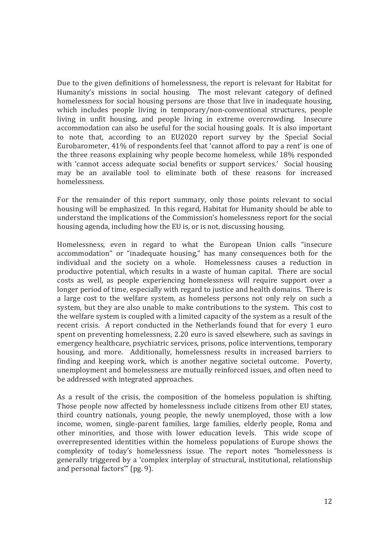Due to the given definitions of homelessness, the report is relevant for Habitat for Humanity's missions in social housing. The most relevant category of defined homelessness for social housing persons are those that live in inadequate housing, which includes people living in temporary/non-conventional structures, people living in unfit housing, and people living in extreme overcrowding. Insecure accommodation can also be useful for the social housing goals. It is also important to note that, according to an EU2020 report survey by the Special Social Eurobarometer, 41% of respondents feel that 'cannot afford to pay a rent' is one of the three reasons explaining why people become homeless, while 18% responded with 'cannot access adequate social benefits or support services.' Social housing may be an available tool to eliminate both of these reasons for increased homelessness.

For the remainder of this report summary, only those points relevant to social housing will be emphasized. In this regard, Habitat for Humanity should be able to understand the implications of the Commission's homelessness report for the social housing agenda, including how the EU is, or is not, discussing housing.

Homelessness, even in regard to what the European Union calls "insecure accommodation" or "inadequate housing," has many consequences both for the individual and the society on a whole. Homelessness causes a reduction in productive potential, which results in a waste of human capital. There are social costs as well, as people experiencing homelessness will require support over a longer period of time, especially with regard to justice and health domains. There is a large cost to the welfare system, as homeless persons not only rely on such a system, but they are also unable to make contributions to the system. This cost to the welfare system is coupled with a limited capacity of the system as a result of the recent crisis. A report conducted in the Netherlands found that for every 1 euro spent on preventing homelessness, 2.20 euro is saved elsewhere, such as savings in emergency healthcare, psychiatric services, prisons, police interventions, temporary housing, and more. Additionally, homelessness results in increased barriers to finding and keeping work, which is another negative societal outcome. Poverty, unemployment and homelessness are mutually reinforced issues, and often need to be addressed with integrated approaches.

As a result of the crisis, the composition of the homeless population is shifting. Those people now affected by homelessness include citizens from other EU states, third country nationals, young people, the newly unemployed, those with a low income, women, single-parent families, large families, elderly people, Roma and other minorities, and those with lower education levels. This wide scope of overrepresented identities within the homeless populations of Europe shows the complexity of today's homelessness issue. The report notes "homelessness is generally triggered by a 'complex interplay of structural, institutional, relationship and personal factors'" (pg. 9).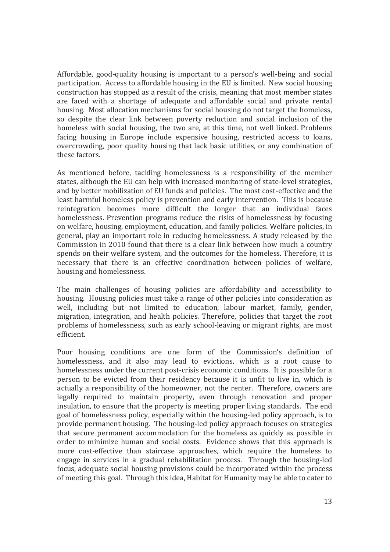Affordable, good-quality housing is important to a person's well-being and social participation. Access to affordable housing in the EU is limited. New social housing construction has stopped as a result of the crisis, meaning that most member states are faced with a shortage of adequate and affordable social and private rental housing. Most allocation mechanisms for social housing do not target the homeless, so despite the clear link between poverty reduction and social inclusion of the homeless with social housing, the two are, at this time, not well linked. Problems facing housing in Europe include expensive housing, restricted access to loans, overcrowding, poor quality housing that lack basic utilities, or any combination of these factors.

As mentioned before, tackling homelessness is a responsibility of the member states, although the EU can help with increased monitoring of state-level strategies, and by better mobilization of EU funds and policies. The most cost-effective and the least harmful homeless policy is prevention and early intervention. This is because reintegration becomes more difficult the longer that an individual faces homelessness. Prevention programs reduce the risks of homelessness by focusing on welfare, housing, employment, education, and family policies. Welfare policies, in general, play an important role in reducing homelessness. A study released by the Commission in 2010 found that there is a clear link between how much a country spends on their welfare system, and the outcomes for the homeless. Therefore, it is necessary that there is an effective coordination between policies of welfare, housing and homelessness.

The main challenges of housing policies are affordability and accessibility to housing. Housing policies must take a range of other policies into consideration as well, including but not limited to education, labour market, family, gender, migration, integration, and health policies. Therefore, policies that target the root problems of homelessness, such as early school-leaving or migrant rights, are most efficient.

Poor housing conditions are one form of the Commission's definition of homelessness, and it also may lead to evictions, which is a root cause to homelessness under the current post-crisis economic conditions. It is possible for a person to be evicted from their residency because it is unfit to live in, which is actually a responsibility of the homeowner, not the renter. Therefore, owners are legally required to maintain property, even through renovation and proper insulation, to ensure that the property is meeting proper living standards. The end goal of homelessness policy, especially within the housing-led policy approach, is to provide permanent housing. The housing-led policy approach focuses on strategies that secure permanent accommodation for the homeless as quickly as possible in order to minimize human and social costs. Evidence shows that this approach is more cost-effective than staircase approaches, which require the homeless to engage in services in a gradual rehabilitation process. Through the housing-led focus, adequate social housing provisions could be incorporated within the process of meeting this goal. Through this idea, Habitat for Humanity may be able to cater to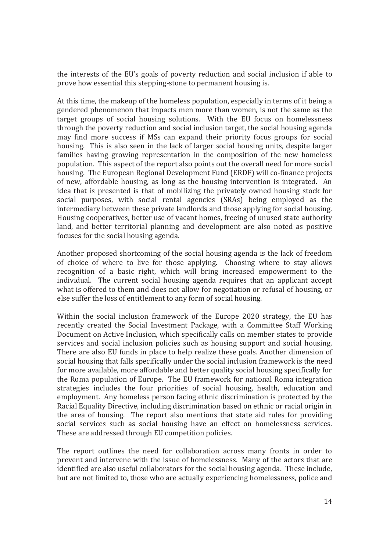the interests of the EU's goals of poverty reduction and social inclusion if able to prove how essential this stepping-stone to permanent housing is.

At this time, the makeup of the homeless population, especially in terms of it being a gendered phenomenon that impacts men more than women, is not the same as the target groups of social housing solutions. With the EU focus on homelessness through the poverty reduction and social inclusion target, the social housing agenda may find more success if MSs can expand their priority focus groups for social housing. This is also seen in the lack of larger social housing units, despite larger families having growing representation in the composition of the new homeless population. This aspect of the report also points out the overall need for more social housing. The European Regional Development Fund (ERDF) will co-finance projects of new, affordable housing, as long as the housing intervention is integrated. An idea that is presented is that of mobilizing the privately owned housing stock for social purposes, with social rental agencies (SRAs) being employed as the intermediary between these private landlords and those applying for social housing. Housing cooperatives, better use of vacant homes, freeing of unused state authority land, and better territorial planning and development are also noted as positive focuses for the social housing agenda.

Another proposed shortcoming of the social housing agenda is the lack of freedom of choice of where to live for those applying. Choosing where to stay allows recognition of a basic right, which will bring increased empowerment to the individual. The current social housing agenda requires that an applicant accept what is offered to them and does not allow for negotiation or refusal of housing, or else suffer the loss of entitlement to any form of social housing.

Within the social inclusion framework of the Europe 2020 strategy, the EU has recently created the Social Investment Package, with a Committee Staff Working Document on Active Inclusion, which specifically calls on member states to provide services and social inclusion policies such as housing support and social housing. There are also EU funds in place to help realize these goals. Another dimension of social housing that falls specifically under the social inclusion framework is the need for more available, more affordable and better quality social housing specifically for the Roma population of Europe. The EU framework for national Roma integration strategies includes the four priorities of social housing, health, education and employment. Any homeless person facing ethnic discrimination is protected by the Racial Equality Directive, including discrimination based on ethnic or racial origin in the area of housing. The report also mentions that state aid rules for providing social services such as social housing have an effect on homelessness services. These are addressed through EU competition policies.

The report outlines the need for collaboration across many fronts in order to prevent and intervene with the issue of homelessness. Many of the actors that are identified are also useful collaborators for the social housing agenda. These include, but are not limited to, those who are actually experiencing homelessness, police and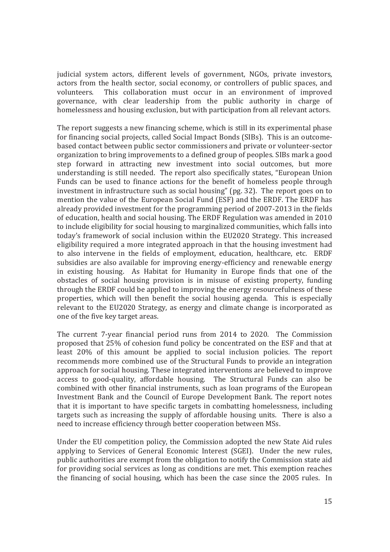judicial system actors, different levels of government, NGOs, private investors, actors from the health sector, social economy, or controllers of public spaces, and volunteers. This collaboration must occur in an environment of improved governance, with clear leadership from the public authority in charge of homelessness and housing exclusion, but with participation from all relevant actors.

The report suggests a new financing scheme, which is still in its experimental phase for financing social projects, called Social Impact Bonds (SIBs). This is an outcomebased contact between public sector commissioners and private or volunteer-sector organization to bring improvements to a defined group of peoples. SIBs mark a good step forward in attracting new investment into social outcomes, but more understanding is still needed. The report also specifically states, "European Union Funds can be used to finance actions for the benefit of homeless people through investment in infrastructure such as social housing" (pg. 32). The report goes on to mention the value of the European Social Fund (ESF) and the ERDF. The ERDF has already provided investment for the programming period of 2007-2013 in the fields of education, health and social housing. The ERDF Regulation was amended in 2010 to include eligibility for social housing to marginalized communities, which falls into today's framework of social inclusion within the EU2020 Strategy. This increased eligibility required a more integrated approach in that the housing investment had to also intervene in the fields of employment, education, healthcare, etc. ERDF subsidies are also available for improving energy-efficiency and renewable energy in existing housing. As Habitat for Humanity in Europe finds that one of the obstacles of social housing provision is in misuse of existing property, funding through the ERDF could be applied to improving the energy resourcefulness of these properties, which will then benefit the social housing agenda. This is especially relevant to the EU2020 Strategy, as energy and climate change is incorporated as one of the five key target areas.

The current 7-year financial period runs from 2014 to 2020. The Commission proposed that 25% of cohesion fund policy be concentrated on the ESF and that at least 20% of this amount be applied to social inclusion policies. The report recommends more combined use of the Structural Funds to provide an integration approach for social housing. These integrated interventions are believed to improve access to good-quality, affordable housing. The Structural Funds can also be combined with other financial instruments, such as loan programs of the European Investment Bank and the Council of Europe Development Bank. The report notes that it is important to have specific targets in combatting homelessness, including targets such as increasing the supply of affordable housing units. There is also a need to increase efficiency through better cooperation between MSs.

Under the EU competition policy, the Commission adopted the new State Aid rules applying to Services of General Economic Interest (SGEI). Under the new rules, public authorities are exempt from the obligation to notify the Commission state aid for providing social services as long as conditions are met. This exemption reaches the financing of social housing, which has been the case since the 2005 rules. In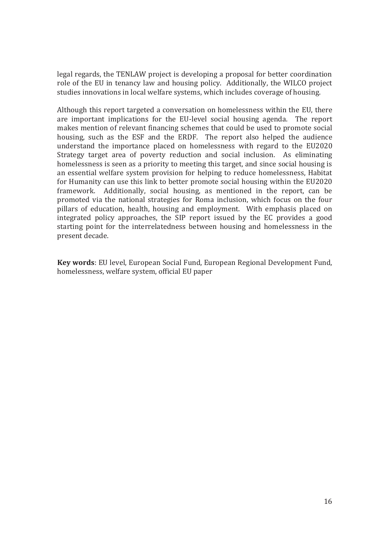legal regards, the TENLAW project is developing a proposal for better coordination role of the EU in tenancy law and housing policy. Additionally, the WILCO project studies innovations in local welfare systems, which includes coverage of housing.

Although this report targeted a conversation on homelessness within the EU, there are important implications for the EU-level social housing agenda. The report makes mention of relevant financing schemes that could be used to promote social housing, such as the ESF and the ERDF. The report also helped the audience understand the importance placed on homelessness with regard to the EU2020 Strategy target area of poverty reduction and social inclusion. As eliminating homelessness is seen as a priority to meeting this target, and since social housing is an essential welfare system provision for helping to reduce homelessness, Habitat for Humanity can use this link to better promote social housing within the EU2020 framework. Additionally, social housing, as mentioned in the report, can be promoted via the national strategies for Roma inclusion, which focus on the four pillars of education, health, housing and employment. With emphasis placed on integrated policy approaches, the SIP report issued by the EC provides a good starting point for the interrelatedness between housing and homelessness in the present decade.

**Key words**: EU level, European Social Fund, European Regional Development Fund, homelessness, welfare system, official EU paper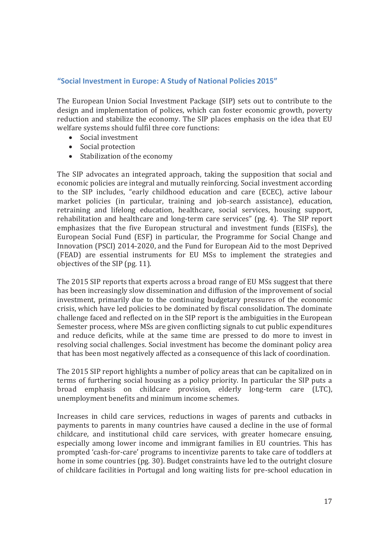#### **"Social Investment in Europe: A Study of National Policies 2015"**

The European Union Social Investment Package (SIP) sets out to contribute to the design and implementation of polices, which can foster economic growth, poverty reduction and stabilize the economy. The SIP places emphasis on the idea that EU welfare systems should fulfil three core functions:

- Social investment
- Social protection
- Stabilization of the economy

The SIP advocates an integrated approach, taking the supposition that social and economic policies are integral and mutually reinforcing. Social investment according to the SIP includes, "early childhood education and care (ECEC), active labour market policies (in particular, training and job-search assistance), education, retraining and lifelong education, healthcare, social services, housing support, rehabilitation and healthcare and long-term care services" (pg. 4). The SIP report emphasizes that the five European structural and investment funds (EISFs), the European Social Fund (ESF) in particular, the Programme for Social Change and Innovation (PSCI) 2014-2020, and the Fund for European Aid to the most Deprived (FEAD) are essential instruments for EU MSs to implement the strategies and objectives of the SIP (pg. 11).

The 2015 SIP reports that experts across a broad range of EU MSs suggest that there has been increasingly slow dissemination and diffusion of the improvement of social investment, primarily due to the continuing budgetary pressures of the economic crisis, which have led policies to be dominated by fiscal consolidation. The dominate challenge faced and reflected on in the SIP report is the ambiguities in the European Semester process, where MSs are given conflicting signals to cut public expenditures and reduce deficits, while at the same time are pressed to do more to invest in resolving social challenges. Social investment has become the dominant policy area that has been most negatively affected as a consequence of this lack of coordination.

The 2015 SIP report highlights a number of policy areas that can be capitalized on in terms of furthering social housing as a policy priority. In particular the SIP puts a broad emphasis on childcare provision, elderly long-term care (LTC), unemployment benefits and minimum income schemes.

Increases in child care services, reductions in wages of parents and cutbacks in payments to parents in many countries have caused a decline in the use of formal childcare, and institutional child care services, with greater homecare ensuing, especially among lower income and immigrant families in EU countries. This has prompted 'cash-for-care' programs to incentivize parents to take care of toddlers at home in some countries (pg. 30). Budget constraints have led to the outright closure of childcare facilities in Portugal and long waiting lists for pre-school education in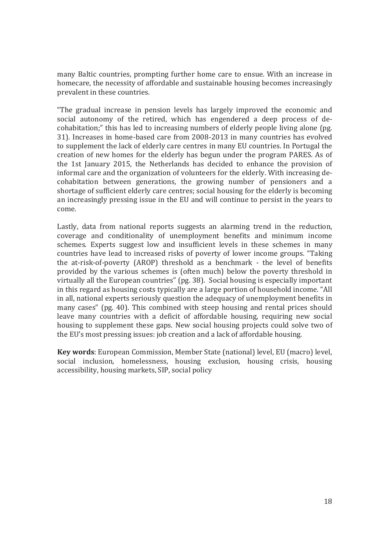many Baltic countries, prompting further home care to ensue. With an increase in homecare, the necessity of affordable and sustainable housing becomes increasingly prevalent in these countries.

"The gradual increase in pension levels has largely improved the economic and social autonomy of the retired, which has engendered a deep process of decohabitation;" this has led to increasing numbers of elderly people living alone (pg. 31). Increases in home-based care from 2008-2013 in many countries has evolved to supplement the lack of elderly care centres in many EU countries. In Portugal the creation of new homes for the elderly has begun under the program PARES. As of the 1st January 2015, the Netherlands has decided to enhance the provision of informal care and the organization of volunteers for the elderly. With increasing decohabitation between generations, the growing number of pensioners and a shortage of sufficient elderly care centres; social housing for the elderly is becoming an increasingly pressing issue in the EU and will continue to persist in the years to come.

Lastly, data from national reports suggests an alarming trend in the reduction, coverage and conditionality of unemployment benefits and minimum income schemes. Experts suggest low and insufficient levels in these schemes in many countries have lead to increased risks of poverty of lower income groups. "Taking the at-risk-of-poverty (AROP) threshold as a benchmark - the level of benefits provided by the various schemes is (often much) below the poverty threshold in virtually all the European countries" (pg. 38). Social housing is especially important in this regard as housing costs typically are a large portion of household income. "All in all, national experts seriously question the adequacy of unemployment benefits in many cases" (pg. 40). This combined with steep housing and rental prices should leave many countries with a deficit of affordable housing, requiring new social housing to supplement these gaps. New social housing projects could solve two of the EU's most pressing issues: job creation and a lack of affordable housing.

**Key words**: European Commission, Member State (national) level, EU (macro) level, social inclusion, homelessness, housing exclusion, housing crisis, housing accessibility, housing markets, SIP, social policy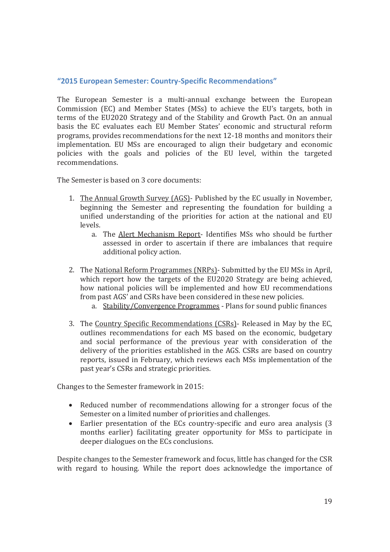#### **"2015 European Semester: Country-Specific Recommendations"**

The European Semester is a multi-annual exchange between the European Commission (EC) and Member States (MSs) to achieve the EU's targets, both in terms of the EU2020 Strategy and of the Stability and Growth Pact. On an annual basis the EC evaluates each EU Member States' economic and structural reform programs, provides recommendations for the next 12-18 months and monitors their implementation. EU MSs are encouraged to align their budgetary and economic policies with the goals and policies of the EU level, within the targeted recommendations.

The Semester is based on 3 core documents:

- 1. The Annual Growth Survey (AGS)- Published by the EC usually in November, beginning the Semester and representing the foundation for building a unified understanding of the priorities for action at the national and EU levels.
	- a. The Alert Mechanism Report- Identifies MSs who should be further assessed in order to ascertain if there are imbalances that require additional policy action.
- 2. The National Reform Programmes (NRPs)- Submitted by the EU MSs in April, which report how the targets of the EU2020 Strategy are being achieved, how national policies will be implemented and how EU recommendations from past AGS' and CSRs have been considered in these new policies.
	- a. Stability/Convergence Programmes Plans for sound public finances
- 3. The Country Specific Recommendations (CSRs)- Released in May by the EC, outlines recommendations for each MS based on the economic, budgetary and social performance of the previous year with consideration of the delivery of the priorities established in the AGS. CSRs are based on country reports, issued in February, which reviews each MSs implementation of the past year's CSRs and strategic priorities.

Changes to the Semester framework in 2015:

- Reduced number of recommendations allowing for a stronger focus of the Semester on a limited number of priorities and challenges.
- Earlier presentation of the ECs country-specific and euro area analysis (3) months earlier) facilitating greater opportunity for MSs to participate in deeper dialogues on the ECs conclusions.

Despite changes to the Semester framework and focus, little has changed for the CSR with regard to housing. While the report does acknowledge the importance of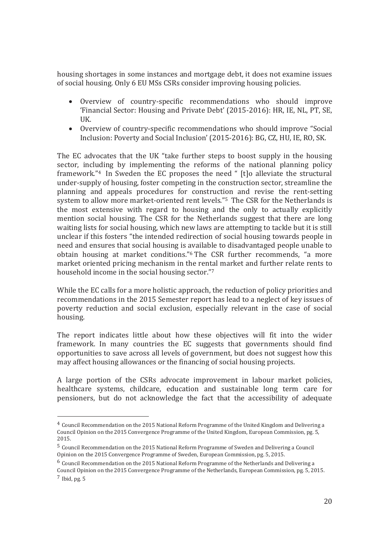housing shortages in some instances and mortgage debt, it does not examine issues of social housing. Only 6 EU MSs CSRs consider improving housing policies.

- x Overview of country-specific recommendations who should improve 'Financial Sector: Housing and Private Debt' (2015-2016): HR, IE, NL, PT, SE, UK.
- Overview of country-specific recommendations who should improve "Social Inclusion: Poverty and Social Inclusion' (2015-2016): BG, CZ, HU, IE, RO, SK.

The EC advocates that the UK "take further steps to boost supply in the housing sector, including by implementing the reforms of the national planning policy framework."4 In Sweden the EC proposes the need " [t]o alleviate the structural under-supply of housing, foster competing in the construction sector, streamline the planning and appeals procedures for construction and revise the rent-setting system to allow more market-oriented rent levels."5 The CSR for the Netherlands is the most extensive with regard to housing and the only to actually explicitly mention social housing. The CSR for the Netherlands suggest that there are long waiting lists for social housing, which new laws are attempting to tackle but it is still unclear if this fosters "the intended redirection of social housing towards people in need and ensures that social housing is available to disadvantaged people unable to obtain housing at market conditions."6 The CSR further recommends, "a more market oriented pricing mechanism in the rental market and further relate rents to household income in the social housing sector."7

While the EC calls for a more holistic approach, the reduction of policy priorities and recommendations in the 2015 Semester report has lead to a neglect of key issues of poverty reduction and social exclusion, especially relevant in the case of social housing.

The report indicates little about how these objectives will fit into the wider framework. In many countries the EC suggests that governments should find opportunities to save across all levels of government, but does not suggest how this may affect housing allowances or the financing of social housing projects.

A large portion of the CSRs advocate improvement in labour market policies, healthcare systems, childcare, education and sustainable long term care for pensioners, but do not acknowledge the fact that the accessibility of adequate

l

<sup>4</sup> Council Recommendation on the 2015 National Reform Programme of the United Kingdom and Delivering a Council Opinion on the 2015 Convergence Programme of the United Kingdom, European Commission, pg. 5, 2015. 5 Council Recommendation on the 2015 National Reform Programme of Sweden and Delivering a Council

Opinion on the 2015 Convergence Programme of Sweden, European Commission, pg. 5, 2015.

<sup>6</sup> Council Recommendation on the 2015 National Reform Programme of the Netherlands and Delivering a Council Opinion on the 2015 Convergence Programme of the Netherlands, European Commission, pg. 5, 2015. 7 Ibid, pg. 5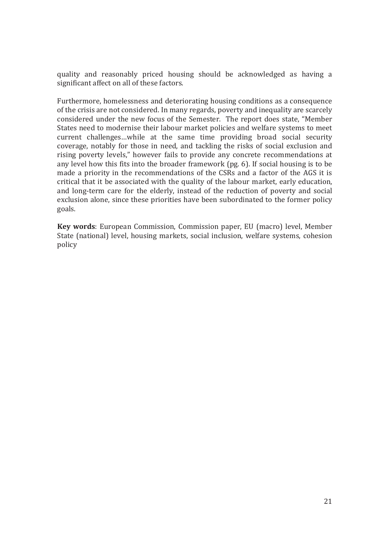quality and reasonably priced housing should be acknowledged as having a significant affect on all of these factors.

Furthermore, homelessness and deteriorating housing conditions as a consequence of the crisis are not considered. In many regards, poverty and inequality are scarcely considered under the new focus of the Semester. The report does state, "Member States need to modernise their labour market policies and welfare systems to meet current challenges…while at the same time providing broad social security coverage, notably for those in need, and tackling the risks of social exclusion and rising poverty levels," however fails to provide any concrete recommendations at any level how this fits into the broader framework (pg. 6). If social housing is to be made a priority in the recommendations of the CSRs and a factor of the AGS it is critical that it be associated with the quality of the labour market, early education, and long-term care for the elderly, instead of the reduction of poverty and social exclusion alone, since these priorities have been subordinated to the former policy goals.

**Key words**: European Commission, Commission paper, EU (macro) level, Member State (national) level, housing markets, social inclusion, welfare systems, cohesion policy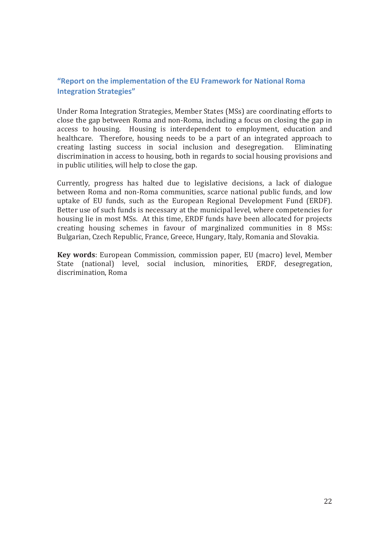## **"Report on the implementation of the EU Framework for National Roma Integration Strategies"**

Under Roma Integration Strategies, Member States (MSs) are coordinating efforts to close the gap between Roma and non-Roma, including a focus on closing the gap in access to housing. Housing is interdependent to employment, education and healthcare. Therefore, housing needs to be a part of an integrated approach to creating lasting success in social inclusion and desegregation. Eliminating discrimination in access to housing, both in regards to social housing provisions and in public utilities, will help to close the gap.

Currently, progress has halted due to legislative decisions, a lack of dialogue between Roma and non-Roma communities, scarce national public funds, and low uptake of EU funds, such as the European Regional Development Fund (ERDF). Better use of such funds is necessary at the municipal level, where competencies for housing lie in most MSs. At this time, ERDF funds have been allocated for projects creating housing schemes in favour of marginalized communities in 8 MSs: Bulgarian, Czech Republic, France, Greece, Hungary, Italy, Romania and Slovakia.

**Key words**: European Commission, commission paper, EU (macro) level, Member State (national) level, social inclusion, minorities, ERDF, desegregation, discrimination, Roma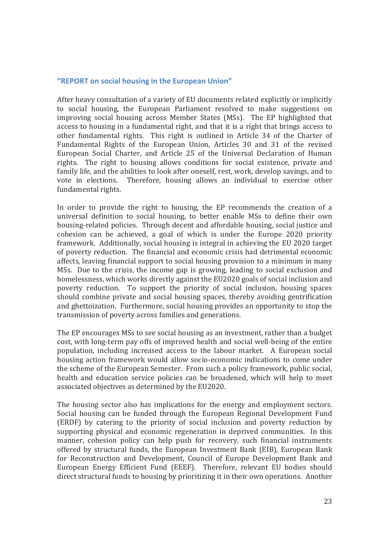#### **"REPORT on social housing in the European Union"**

After heavy consultation of a variety of EU documents related explicitly or implicitly to social housing, the European Parliament resolved to make suggestions on improving social housing across Member States (MSs). The EP highlighted that access to housing in a fundamental right, and that it is a right that brings access to other fundamental rights. This right is outlined in Article 34 of the Charter of Fundamental Rights of the European Union, Articles 30 and 31 of the revised European Social Charter, and Article 25 of the Universal Declaration of Human rights. The right to housing allows conditions for social existence, private and family life, and the abilities to look after oneself, rest, work, develop savings, and to vote in elections. Therefore, housing allows an individual to exercise other fundamental rights.

In order to provide the right to housing, the EP recommends the creation of a universal definition to social housing, to better enable MSs to define their own housing-related policies. Through decent and affordable housing, social justice and cohesion can be achieved, a goal of which is under the Europe 2020 priority framework. Additionally, social housing is integral in achieving the EU 2020 target of poverty reduction. The financial and economic crisis had detrimental economic affects, leaving financial support to social housing provision to a minimum in many MSs. Due to the crisis, the income gap is growing, leading to social exclusion and homelessness, which works directly against the EU2020 goals of social inclusion and poverty reduction. To support the priority of social inclusion, housing spaces should combine private and social housing spaces, thereby avoiding gentrification and ghettoization. Furthermore, social housing provides an opportunity to stop the transmission of poverty across families and generations.

The EP encourages MSs to see social housing as an investment, rather than a budget cost, with long-term pay offs of improved health and social well-being of the entire population, including increased access to the labour market. A European social housing action framework would allow socio-economic indications to come under the scheme of the European Semester. From such a policy framework, public social, health and education service policies can be broadened, which will help to meet associated objectives as determined by the EU2020.

The housing sector also has implications for the energy and employment sectors. Social housing can be funded through the European Regional Development Fund (ERDF) by catering to the priority of social inclusion and poverty reduction by supporting physical and economic regeneration in deprived communities. In this manner, cohesion policy can help push for recovery, such financial instruments offered by structural funds, the European Investment Bank (EIB), European Bank for Reconstruction and Development, Council of Europe Development Bank and European Energy Efficient Fund (EEEF). Therefore, relevant EU bodies should direct structural funds to housing by prioritizing it in their own operations. Another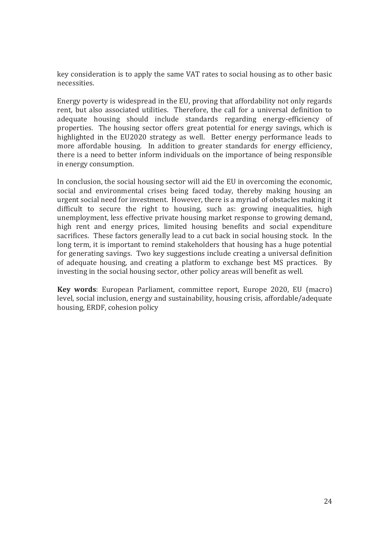key consideration is to apply the same VAT rates to social housing as to other basic necessities.

Energy poverty is widespread in the EU, proving that affordability not only regards rent, but also associated utilities. Therefore, the call for a universal definition to adequate housing should include standards regarding energy-efficiency of properties. The housing sector offers great potential for energy savings, which is highlighted in the EU2020 strategy as well. Better energy performance leads to more affordable housing. In addition to greater standards for energy efficiency, there is a need to better inform individuals on the importance of being responsible in energy consumption.

In conclusion, the social housing sector will aid the EU in overcoming the economic, social and environmental crises being faced today, thereby making housing an urgent social need for investment. However, there is a myriad of obstacles making it difficult to secure the right to housing, such as: growing inequalities, high unemployment, less effective private housing market response to growing demand, high rent and energy prices, limited housing benefits and social expenditure sacrifices. These factors generally lead to a cut back in social housing stock. In the long term, it is important to remind stakeholders that housing has a huge potential for generating savings. Two key suggestions include creating a universal definition of adequate housing, and creating a platform to exchange best MS practices. By investing in the social housing sector, other policy areas will benefit as well.

**Key words**: European Parliament, committee report, Europe 2020, EU (macro) level, social inclusion, energy and sustainability, housing crisis, affordable/adequate housing, ERDF, cohesion policy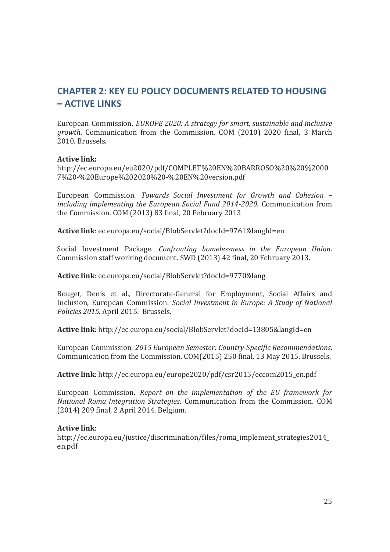# **CHAPTER 2: KEY EU POLICY DOCUMENTS RELATED TO HOUSING – ACTIVE LINKS**

European Commission. *EUROPE 2020: A strategy for smart, sustainable and inclusive growth*. Communication from the Commission. COM (2010) 2020 final, 3 March 2010. Brussels.

## **Active link:**

http://ec.europa.eu/eu2020/pdf/COMPLET%20EN%20BARROSO%20%20%2000 7%20-%20Europe%202020%20-%20EN%20version.pdf

European Commission. *Towards Social Investment for Growth and Cohesion – including implementing the European Social Fund 2014-2020*. Communication from the Commission. COM (2013) 83 final, 20 February 2013

**Active link**: ec.europa.eu/social/BlobServlet?docId=9761&langId=en

Social Investment Package. *Confronting homelessness in the European Union*. Commission staff working document. SWD (2013) 42 final, 20 February 2013.

**Active link**: ec.europa.eu/social/BlobServlet?docId=9770&lang

Bouget, Denis et al., Directorate-General for Employment, Social Affairs and Inclusion, European Commission. *Social Investment in Europe: A Study of National Policies 2015.* April 2015. Brussels.

**Active link**: http://ec.europa.eu/social/BlobServlet?docId=13805&langId=en

European Commission. *2015 European Semester: Country-Specific Recommendations*. Communication from the Commission. COM(2015) 250 final, 13 May 2015. Brussels.

**Active link**: http://ec.europa.eu/europe2020/pdf/csr2015/eccom2015\_en.pdf

European Commission. *Report on the implementation of the EU framework for National Roma Integration Strategies*. Communication from the Commission. COM (2014) 209 final, 2 April 2014. Belgium.

#### **Active link**:

http://ec.europa.eu/justice/discrimination/files/roma\_implement\_strategies2014\_ en.pdf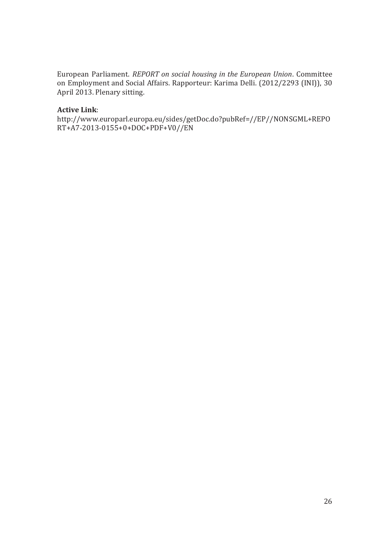European Parliament. *REPORT on social housing in the European Union*. Committee on Employment and Social Affairs. Rapporteur: Karima Delli. (2012/2293 (INI)), 30 April 2013. Plenary sitting.

## **Active Link**:

http://www.europarl.europa.eu/sides/getDoc.do?pubRef=//EP//NONSGML+REPO RT+A7-2013-0155+0+DOC+PDF+V0//EN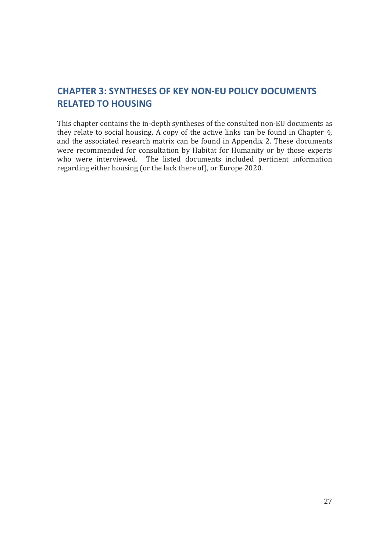# **CHAPTER 3: SYNTHESES OF KEY NON-EU POLICY DOCUMENTS RELATED TO HOUSING**

This chapter contains the in-depth syntheses of the consulted non-EU documents as they relate to social housing. A copy of the active links can be found in Chapter 4, and the associated research matrix can be found in Appendix 2. These documents were recommended for consultation by Habitat for Humanity or by those experts who were interviewed. The listed documents included pertinent information regarding either housing (or the lack there of), or Europe 2020.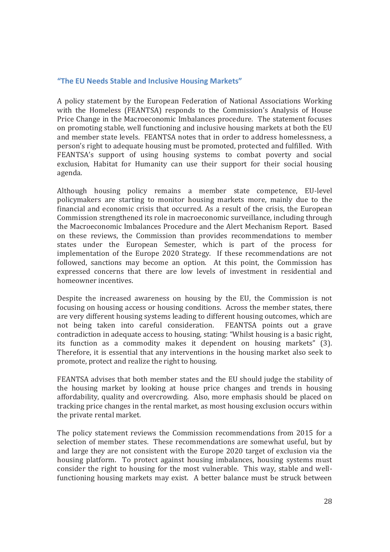#### **"The EU Needs Stable and Inclusive Housing Markets"**

A policy statement by the European Federation of National Associations Working with the Homeless (FEANTSA) responds to the Commission's Analysis of House Price Change in the Macroeconomic Imbalances procedure. The statement focuses on promoting stable, well functioning and inclusive housing markets at both the EU and member state levels. FEANTSA notes that in order to address homelessness, a person's right to adequate housing must be promoted, protected and fulfilled. With FEANTSA's support of using housing systems to combat poverty and social exclusion, Habitat for Humanity can use their support for their social housing agenda.

Although housing policy remains a member state competence, EU-level policymakers are starting to monitor housing markets more, mainly due to the financial and economic crisis that occurred. As a result of the crisis, the European Commission strengthened its role in macroeconomic surveillance, including through the Macroeconomic Imbalances Procedure and the Alert Mechanism Report. Based on these reviews, the Commission than provides recommendations to member states under the European Semester, which is part of the process for implementation of the Europe 2020 Strategy. If these recommendations are not followed, sanctions may become an option. At this point, the Commission has expressed concerns that there are low levels of investment in residential and homeowner incentives.

Despite the increased awareness on housing by the EU, the Commission is not focusing on housing access or housing conditions. Across the member states, there are very different housing systems leading to different housing outcomes, which are not being taken into careful consideration. FEANTSA points out a grave contradiction in adequate access to housing, stating: "Whilst housing is a basic right, its function as a commodity makes it dependent on housing markets" (3). Therefore, it is essential that any interventions in the housing market also seek to promote, protect and realize the right to housing.

FEANTSA advises that both member states and the EU should judge the stability of the housing market by looking at house price changes and trends in housing affordability, quality and overcrowding. Also, more emphasis should be placed on tracking price changes in the rental market, as most housing exclusion occurs within the private rental market.

The policy statement reviews the Commission recommendations from 2015 for a selection of member states. These recommendations are somewhat useful, but by and large they are not consistent with the Europe 2020 target of exclusion via the housing platform. To protect against housing imbalances, housing systems must consider the right to housing for the most vulnerable. This way, stable and wellfunctioning housing markets may exist. A better balance must be struck between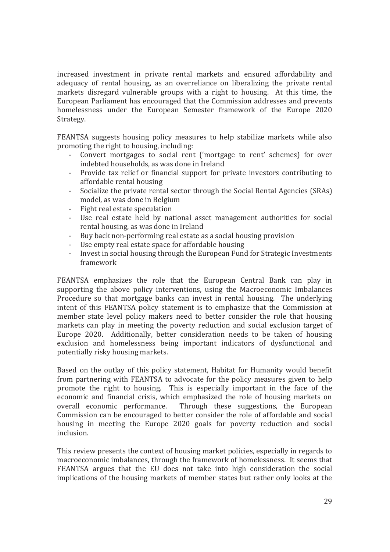increased investment in private rental markets and ensured affordability and adequacy of rental housing, as an overreliance on liberalizing the private rental markets disregard vulnerable groups with a right to housing. At this time, the European Parliament has encouraged that the Commission addresses and prevents homelessness under the European Semester framework of the Europe 2020 Strategy.

FEANTSA suggests housing policy measures to help stabilize markets while also promoting the right to housing, including:

- Convert mortgages to social rent ('mortgage to rent' schemes) for over indebted households, as was done in Ireland
- Provide tax relief or financial support for private investors contributing to affordable rental housing
- Socialize the private rental sector through the Social Rental Agencies (SRAs) model, as was done in Belgium
- Fight real estate speculation
- Use real estate held by national asset management authorities for social rental housing, as was done in Ireland
- Buy back non-performing real estate as a social housing provision
- Use empty real estate space for affordable housing
- Invest in social housing through the European Fund for Strategic Investments framework

FEANTSA emphasizes the role that the European Central Bank can play in supporting the above policy interventions, using the Macroeconomic Imbalances Procedure so that mortgage banks can invest in rental housing. The underlying intent of this FEANTSA policy statement is to emphasize that the Commission at member state level policy makers need to better consider the role that housing markets can play in meeting the poverty reduction and social exclusion target of Europe 2020. Additionally, better consideration needs to be taken of housing exclusion and homelessness being important indicators of dysfunctional and potentially risky housing markets.

Based on the outlay of this policy statement, Habitat for Humanity would benefit from partnering with FEANTSA to advocate for the policy measures given to help promote the right to housing. This is especially important in the face of the economic and financial crisis, which emphasized the role of housing markets on overall economic performance. Through these suggestions, the European Commission can be encouraged to better consider the role of affordable and social housing in meeting the Europe 2020 goals for poverty reduction and social inclusion.

This review presents the context of housing market policies, especially in regards to macroeconomic imbalances, through the framework of homelessness. It seems that FEANTSA argues that the EU does not take into high consideration the social implications of the housing markets of member states but rather only looks at the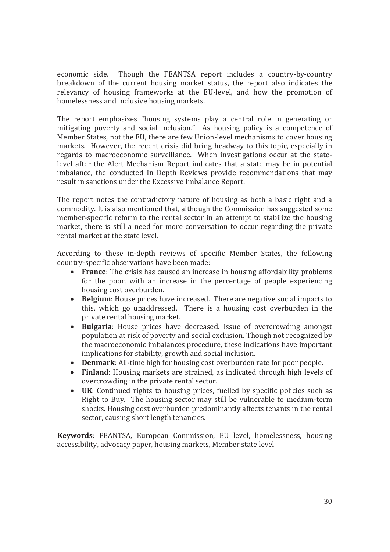economic side. Though the FEANTSA report includes a country-by-country breakdown of the current housing market status, the report also indicates the relevancy of housing frameworks at the EU-level, and how the promotion of homelessness and inclusive housing markets.

The report emphasizes "housing systems play a central role in generating or mitigating poverty and social inclusion." As housing policy is a competence of Member States, not the EU, there are few Union-level mechanisms to cover housing markets. However, the recent crisis did bring headway to this topic, especially in regards to macroeconomic surveillance. When investigations occur at the statelevel after the Alert Mechanism Report indicates that a state may be in potential imbalance, the conducted In Depth Reviews provide recommendations that may result in sanctions under the Excessive Imbalance Report.

The report notes the contradictory nature of housing as both a basic right and a commodity. It is also mentioned that, although the Commission has suggested some member-specific reform to the rental sector in an attempt to stabilize the housing market, there is still a need for more conversation to occur regarding the private rental market at the state level.

According to these in-depth reviews of specific Member States, the following country-specific observations have been made:

- **France**: The crisis has caused an increase in housing affordability problems for the poor, with an increase in the percentage of people experiencing housing cost overburden.
- **Belgium**: House prices have increased. There are negative social impacts to this, which go unaddressed. There is a housing cost overburden in the private rental housing market.
- x **Bulgaria**: House prices have decreased. Issue of overcrowding amongst population at risk of poverty and social exclusion. Though not recognized by the macroeconomic imbalances procedure, these indications have important implications for stability, growth and social inclusion.
- **Denmark:** All-time high for housing cost overburden rate for poor people.
- **Finland**: Housing markets are strained, as indicated through high levels of overcrowding in the private rental sector.
- UK: Continued rights to housing prices, fuelled by specific policies such as Right to Buy. The housing sector may still be vulnerable to medium-term shocks. Housing cost overburden predominantly affects tenants in the rental sector, causing short length tenancies.

**Keywords**: FEANTSA, European Commission, EU level, homelessness, housing accessibility, advocacy paper, housing markets, Member state level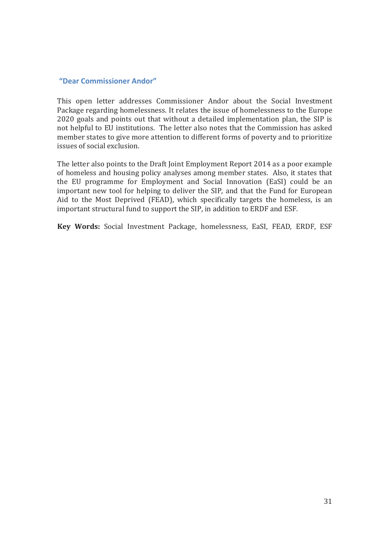#### **"Dear Commissioner Andor"**

This open letter addresses Commissioner Andor about the Social Investment Package regarding homelessness. It relates the issue of homelessness to the Europe 2020 goals and points out that without a detailed implementation plan, the SIP is not helpful to EU institutions. The letter also notes that the Commission has asked member states to give more attention to different forms of poverty and to prioritize issues of social exclusion.

The letter also points to the Draft Joint Employment Report 2014 as a poor example of homeless and housing policy analyses among member states. Also, it states that the EU programme for Employment and Social Innovation (EaSI) could be an important new tool for helping to deliver the SIP, and that the Fund for European Aid to the Most Deprived (FEAD), which specifically targets the homeless, is an important structural fund to support the SIP, in addition to ERDF and ESF.

**Key Words:** Social Investment Package, homelessness, EaSI, FEAD, ERDF, ESF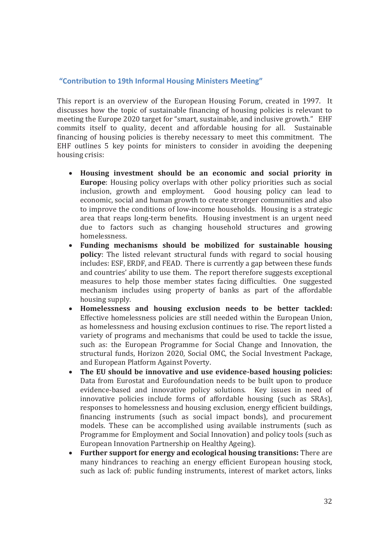#### **"Contribution to 19th Informal Housing Ministers Meeting"**

This report is an overview of the European Housing Forum, created in 1997. It discusses how the topic of sustainable financing of housing policies is relevant to meeting the Europe 2020 target for "smart, sustainable, and inclusive growth." EHF commits itself to quality, decent and affordable housing for all. Sustainable financing of housing policies is thereby necessary to meet this commitment. The EHF outlines 5 key points for ministers to consider in avoiding the deepening housing crisis:

- x **Housing investment should be an economic and social priority in Europe**: Housing policy overlaps with other policy priorities such as social inclusion, growth and employment. Good housing policy can lead to economic, social and human growth to create stronger communities and also to improve the conditions of low-income households. Housing is a strategic area that reaps long-term benefits. Housing investment is an urgent need due to factors such as changing household structures and growing homelessness.
- x **Funding mechanisms should be mobilized for sustainable housing policy**: The listed relevant structural funds with regard to social housing includes: ESF, ERDF, and FEAD. There is currently a gap between these funds and countries' ability to use them. The report therefore suggests exceptional measures to help those member states facing difficulties. One suggested mechanism includes using property of banks as part of the affordable housing supply.
- x **Homelessness and housing exclusion needs to be better tackled:**  Effective homelessness policies are still needed within the European Union, as homelessness and housing exclusion continues to rise. The report listed a variety of programs and mechanisms that could be used to tackle the issue, such as: the European Programme for Social Change and Innovation, the structural funds, Horizon 2020, Social OMC, the Social Investment Package, and European Platform Against Poverty.
- x **The EU should be innovative and use evidence-based housing policies:**  Data from Eurostat and Eurofoundation needs to be built upon to produce evidence-based and innovative policy solutions. Key issues in need of innovative policies include forms of affordable housing (such as SRAs), responses to homelessness and housing exclusion, energy efficient buildings, financing instruments (such as social impact bonds), and procurement models. These can be accomplished using available instruments (such as Programme for Employment and Social Innovation) and policy tools (such as European Innovation Partnership on Healthy Ageing).
- x **Further support for energy and ecological housing transitions:** There are many hindrances to reaching an energy efficient European housing stock, such as lack of: public funding instruments, interest of market actors, links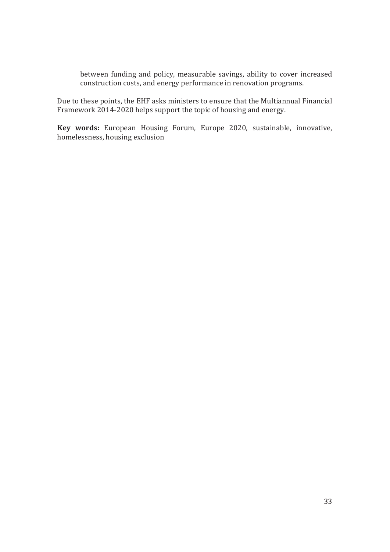between funding and policy, measurable savings, ability to cover increased construction costs, and energy performance in renovation programs.

Due to these points, the EHF asks ministers to ensure that the Multiannual Financial Framework 2014-2020 helps support the topic of housing and energy.

**Key words:** European Housing Forum, Europe 2020, sustainable, innovative, homelessness, housing exclusion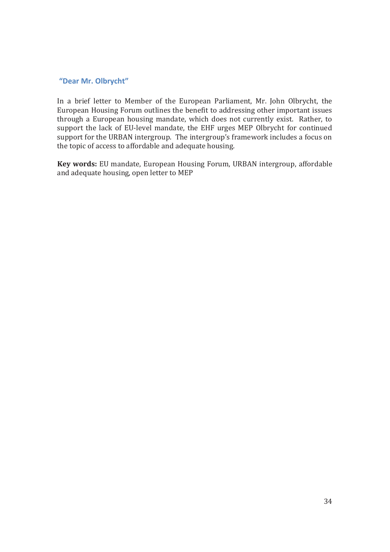#### **"Dear Mr. Olbrycht"**

In a brief letter to Member of the European Parliament, Mr. John Olbrycht, the European Housing Forum outlines the benefit to addressing other important issues through a European housing mandate, which does not currently exist. Rather, to support the lack of EU-level mandate, the EHF urges MEP Olbrycht for continued support for the URBAN intergroup. The intergroup's framework includes a focus on the topic of access to affordable and adequate housing.

**Key words:** EU mandate, European Housing Forum, URBAN intergroup, affordable and adequate housing, open letter to MEP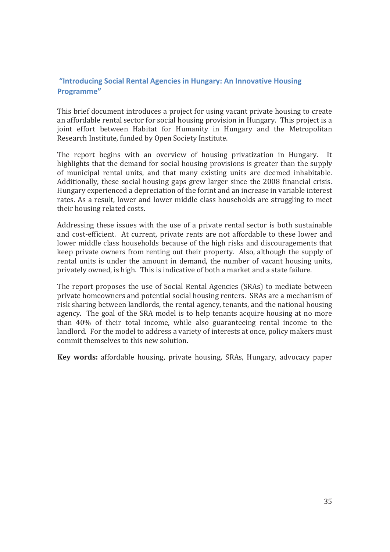## **"Introducing Social Rental Agencies in Hungary: An Innovative Housing Programme"**

This brief document introduces a project for using vacant private housing to create an affordable rental sector for social housing provision in Hungary. This project is a joint effort between Habitat for Humanity in Hungary and the Metropolitan Research Institute, funded by Open Society Institute.

The report begins with an overview of housing privatization in Hungary. It highlights that the demand for social housing provisions is greater than the supply of municipal rental units, and that many existing units are deemed inhabitable. Additionally, these social housing gaps grew larger since the 2008 financial crisis. Hungary experienced a depreciation of the forint and an increase in variable interest rates. As a result, lower and lower middle class households are struggling to meet their housing related costs.

Addressing these issues with the use of a private rental sector is both sustainable and cost-efficient. At current, private rents are not affordable to these lower and lower middle class households because of the high risks and discouragements that keep private owners from renting out their property. Also, although the supply of rental units is under the amount in demand, the number of vacant housing units, privately owned, is high. This is indicative of both a market and a state failure.

The report proposes the use of Social Rental Agencies (SRAs) to mediate between private homeowners and potential social housing renters. SRAs are a mechanism of risk sharing between landlords, the rental agency, tenants, and the national housing agency. The goal of the SRA model is to help tenants acquire housing at no more than 40% of their total income, while also guaranteeing rental income to the landlord. For the model to address a variety of interests at once, policy makers must commit themselves to this new solution.

**Key words:** affordable housing, private housing, SRAs, Hungary, advocacy paper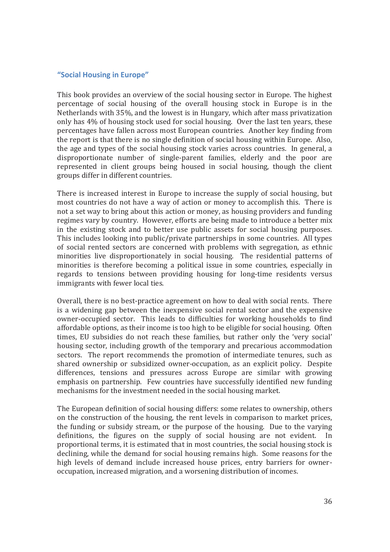#### **"Social Housing in Europe"**

This book provides an overview of the social housing sector in Europe. The highest percentage of social housing of the overall housing stock in Europe is in the Netherlands with 35%, and the lowest is in Hungary, which after mass privatization only has 4% of housing stock used for social housing. Over the last ten years, these percentages have fallen across most European countries. Another key finding from the report is that there is no single definition of social housing within Europe. Also, the age and types of the social housing stock varies across countries. In general, a disproportionate number of single-parent families, elderly and the poor are represented in client groups being housed in social housing, though the client groups differ in different countries.

There is increased interest in Europe to increase the supply of social housing, but most countries do not have a way of action or money to accomplish this. There is not a set way to bring about this action or money, as housing providers and funding regimes vary by country. However, efforts are being made to introduce a better mix in the existing stock and to better use public assets for social housing purposes. This includes looking into public/private partnerships in some countries. All types of social rented sectors are concerned with problems with segregation, as ethnic minorities live disproportionately in social housing. The residential patterns of minorities is therefore becoming a political issue in some countries, especially in regards to tensions between providing housing for long-time residents versus immigrants with fewer local ties.

Overall, there is no best-practice agreement on how to deal with social rents. There is a widening gap between the inexpensive social rental sector and the expensive owner-occupied sector. This leads to difficulties for working households to find affordable options, as their income is too high to be eligible for social housing. Often times, EU subsidies do not reach these families, but rather only the 'very social' housing sector, including growth of the temporary and precarious accommodation sectors. The report recommends the promotion of intermediate tenures, such as shared ownership or subsidized owner-occupation, as an explicit policy. Despite differences, tensions and pressures across Europe are similar with growing emphasis on partnership. Few countries have successfully identified new funding mechanisms for the investment needed in the social housing market.

The European definition of social housing differs: some relates to ownership, others on the construction of the housing, the rent levels in comparison to market prices, the funding or subsidy stream, or the purpose of the housing. Due to the varying definitions, the figures on the supply of social housing are not evident. In proportional terms, it is estimated that in most countries, the social housing stock is declining, while the demand for social housing remains high. Some reasons for the high levels of demand include increased house prices, entry barriers for owneroccupation, increased migration, and a worsening distribution of incomes.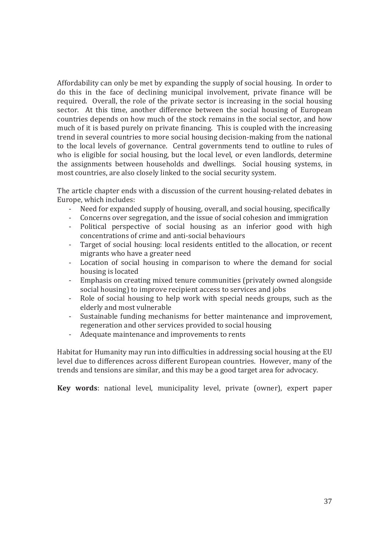Affordability can only be met by expanding the supply of social housing. In order to do this in the face of declining municipal involvement, private finance will be required. Overall, the role of the private sector is increasing in the social housing sector. At this time, another difference between the social housing of European countries depends on how much of the stock remains in the social sector, and how much of it is based purely on private financing. This is coupled with the increasing trend in several countries to more social housing decision-making from the national to the local levels of governance. Central governments tend to outline to rules of who is eligible for social housing, but the local level, or even landlords, determine the assignments between households and dwellings. Social housing systems, in most countries, are also closely linked to the social security system.

The article chapter ends with a discussion of the current housing-related debates in Europe, which includes:

- Need for expanded supply of housing, overall, and social housing, specifically
- Concerns over segregation, and the issue of social cohesion and immigration
- Political perspective of social housing as an inferior good with high concentrations of crime and anti-social behaviours
- Target of social housing: local residents entitled to the allocation, or recent migrants who have a greater need
- Location of social housing in comparison to where the demand for social housing is located
- Emphasis on creating mixed tenure communities (privately owned alongside social housing) to improve recipient access to services and jobs
- Role of social housing to help work with special needs groups, such as the elderly and most vulnerable
- Sustainable funding mechanisms for better maintenance and improvement, regeneration and other services provided to social housing
- Adequate maintenance and improvements to rents

Habitat for Humanity may run into difficulties in addressing social housing at the EU level due to differences across different European countries. However, many of the trends and tensions are similar, and this may be a good target area for advocacy.

**Key words**: national level, municipality level, private (owner), expert paper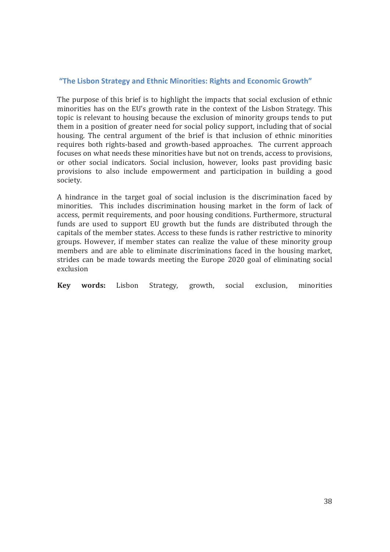#### **"The Lisbon Strategy and Ethnic Minorities: Rights and Economic Growth"**

The purpose of this brief is to highlight the impacts that social exclusion of ethnic minorities has on the EU's growth rate in the context of the Lisbon Strategy. This topic is relevant to housing because the exclusion of minority groups tends to put them in a position of greater need for social policy support, including that of social housing. The central argument of the brief is that inclusion of ethnic minorities requires both rights-based and growth-based approaches. The current approach focuses on what needs these minorities have but not on trends, access to provisions, or other social indicators. Social inclusion, however, looks past providing basic provisions to also include empowerment and participation in building a good society.

A hindrance in the target goal of social inclusion is the discrimination faced by minorities. This includes discrimination housing market in the form of lack of access, permit requirements, and poor housing conditions. Furthermore, structural funds are used to support EU growth but the funds are distributed through the capitals of the member states. Access to these funds is rather restrictive to minority groups. However, if member states can realize the value of these minority group members and are able to eliminate discriminations faced in the housing market, strides can be made towards meeting the Europe 2020 goal of eliminating social exclusion

**Key words:** Lisbon Strategy, growth, social exclusion, minorities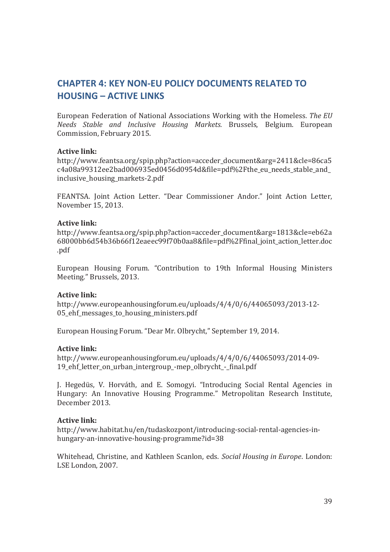# **CHAPTER 4: KEY NON-EU POLICY DOCUMENTS RELATED TO HOUSING – ACTIVE LINKS**

European Federation of National Associations Working with the Homeless*. The EU Needs Stable and Inclusive Housing Markets.* Brussels, Belgium. European Commission, February 2015.

#### **Active link:**

http://www.feantsa.org/spip.php?action=acceder\_document&arg=2411&cle=86ca5 c4a08a99312ee2bad006935ed0456d0954d&file=pdf%2Fthe eu needs stable and inclusive\_housing\_markets-2.pdf

FEANTSA. Joint Action Letter. "Dear Commissioner Andor." Joint Action Letter, November 15, 2013.

#### **Active link:**

http://www.feantsa.org/spip.php?action=acceder\_document&arg=1813&cle=eb62a 68000bb6d54b36b66f12eaeec99f70b0aa8&file=pdf%2Ffinal\_joint\_action\_letter.doc .pdf

European Housing Forum. "Contribution to 19th Informal Housing Ministers Meeting." Brussels, 2013.

#### **Active link:**

http://www.europeanhousingforum.eu/uploads/4/4/0/6/44065093/2013-12- 05 ehf messages to housing ministers.pdf

European Housing Forum. "Dear Mr. Olbrycht," September 19, 2014.

#### **Active link:**

http://www.europeanhousingforum.eu/uploads/4/4/0/6/44065093/2014-09- 19 ehf letter on urban intergroup -mep olbrycht - final.pdf

J. Hegedüs, V. Horváth, and E. Somogyi. "Introducing Social Rental Agencies in Hungary: An Innovative Housing Programme." Metropolitan Research Institute, December 2013.

#### **Active link:**

http://www.habitat.hu/en/tudaskozpont/introducing-social-rental-agencies-inhungary-an-innovative-housing-programme?id=38

Whitehead, Christine, and Kathleen Scanlon, eds. *Social Housing in Europe*. London: LSE London, 2007.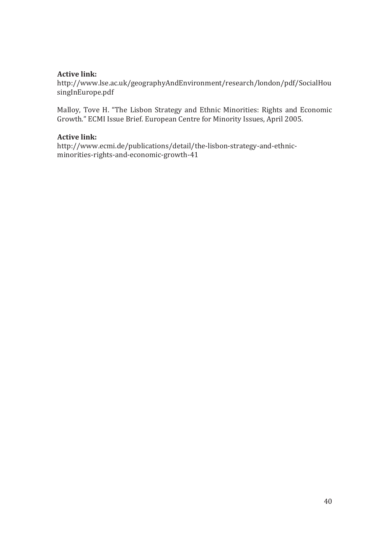#### **Active link:**

http://www.lse.ac.uk/geographyAndEnvironment/research/london/pdf/SocialHou singInEurope.pdf

Malloy, Tove H. "The Lisbon Strategy and Ethnic Minorities: Rights and Economic Growth." ECMI Issue Brief. European Centre for Minority Issues, April 2005.

#### **Active link:**

http://www.ecmi.de/publications/detail/the-lisbon-strategy-and-ethnicminorities-rights-and-economic-growth-41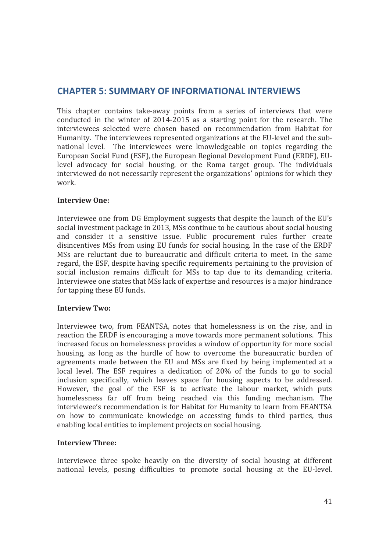## **CHAPTER 5: SUMMARY OF INFORMATIONAL INTERVIEWS**

This chapter contains take-away points from a series of interviews that were conducted in the winter of 2014-2015 as a starting point for the research. The interviewees selected were chosen based on recommendation from Habitat for Humanity. The interviewees represented organizations at the EU-level and the subnational level. The interviewees were knowledgeable on topics regarding the European Social Fund (ESF), the European Regional Development Fund (ERDF), EUlevel advocacy for social housing, or the Roma target group. The individuals interviewed do not necessarily represent the organizations' opinions for which they work.

#### **Interview One:**

Interviewee one from DG Employment suggests that despite the launch of the EU's social investment package in 2013, MSs continue to be cautious about social housing and consider it a sensitive issue. Public procurement rules further create disincentives MSs from using EU funds for social housing. In the case of the ERDF MSs are reluctant due to bureaucratic and difficult criteria to meet. In the same regard, the ESF, despite having specific requirements pertaining to the provision of social inclusion remains difficult for MSs to tap due to its demanding criteria. Interviewee one states that MSs lack of expertise and resources is a major hindrance for tapping these EU funds.

#### **Interview Two:**

Interviewee two, from FEANTSA, notes that homelessness is on the rise, and in reaction the ERDF is encouraging a move towards more permanent solutions. This increased focus on homelessness provides a window of opportunity for more social housing, as long as the hurdle of how to overcome the bureaucratic burden of agreements made between the EU and MSs are fixed by being implemented at a local level. The ESF requires a dedication of 20% of the funds to go to social inclusion specifically, which leaves space for housing aspects to be addressed. However, the goal of the ESF is to activate the labour market, which puts homelessness far off from being reached via this funding mechanism. The interviewee's recommendation is for Habitat for Humanity to learn from FEANTSA on how to communicate knowledge on accessing funds to third parties, thus enabling local entities to implement projects on social housing.

#### **Interview Three:**

Interviewee three spoke heavily on the diversity of social housing at different national levels, posing difficulties to promote social housing at the EU-level.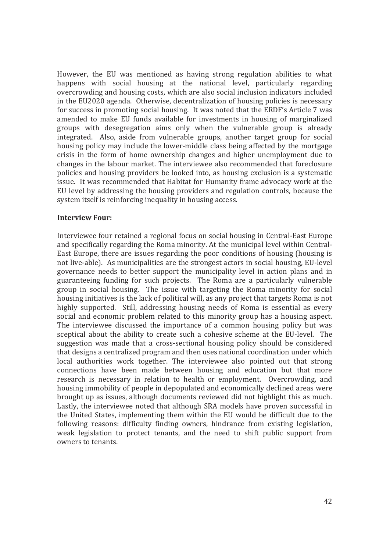However, the EU was mentioned as having strong regulation abilities to what happens with social housing at the national level, particularly regarding overcrowding and housing costs, which are also social inclusion indicators included in the EU2020 agenda. Otherwise, decentralization of housing policies is necessary for success in promoting social housing. It was noted that the ERDF's Article 7 was amended to make EU funds available for investments in housing of marginalized groups with desegregation aims only when the vulnerable group is already integrated. Also, aside from vulnerable groups, another target group for social housing policy may include the lower-middle class being affected by the mortgage crisis in the form of home ownership changes and higher unemployment due to changes in the labour market. The interviewee also recommended that foreclosure policies and housing providers be looked into, as housing exclusion is a systematic issue. It was recommended that Habitat for Humanity frame advocacy work at the EU level by addressing the housing providers and regulation controls, because the system itself is reinforcing inequality in housing access.

#### **Interview Four:**

Interviewee four retained a regional focus on social housing in Central-East Europe and specifically regarding the Roma minority. At the municipal level within Central-East Europe, there are issues regarding the poor conditions of housing (housing is not live-able). As municipalities are the strongest actors in social housing, EU-level governance needs to better support the municipality level in action plans and in guaranteeing funding for such projects. The Roma are a particularly vulnerable group in social housing. The issue with targeting the Roma minority for social housing initiatives is the lack of political will, as any project that targets Roma is not highly supported. Still, addressing housing needs of Roma is essential as every social and economic problem related to this minority group has a housing aspect. The interviewee discussed the importance of a common housing policy but was sceptical about the ability to create such a cohesive scheme at the EU-level. The suggestion was made that a cross-sectional housing policy should be considered that designs a centralized program and then uses national coordination under which local authorities work together. The interviewee also pointed out that strong connections have been made between housing and education but that more research is necessary in relation to health or employment. Overcrowding, and housing immobility of people in depopulated and economically declined areas were brought up as issues, although documents reviewed did not highlight this as much. Lastly, the interviewee noted that although SRA models have proven successful in the United States, implementing them within the EU would be difficult due to the following reasons: difficulty finding owners, hindrance from existing legislation, weak legislation to protect tenants, and the need to shift public support from owners to tenants.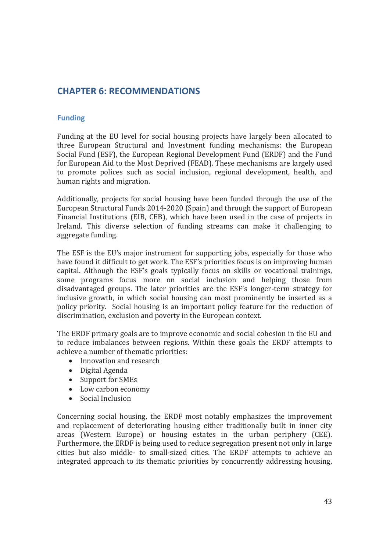# **CHAPTER 6: RECOMMENDATIONS**

## **Funding**

Funding at the EU level for social housing projects have largely been allocated to three European Structural and Investment funding mechanisms: the European Social Fund (ESF), the European Regional Development Fund (ERDF) and the Fund for European Aid to the Most Deprived (FEAD). These mechanisms are largely used to promote polices such as social inclusion, regional development, health, and human rights and migration.

Additionally, projects for social housing have been funded through the use of the European Structural Funds 2014-2020 (Spain) and through the support of European Financial Institutions (EIB, CEB), which have been used in the case of projects in Ireland. This diverse selection of funding streams can make it challenging to aggregate funding.

The ESF is the EU's major instrument for supporting jobs, especially for those who have found it difficult to get work. The ESF's priorities focus is on improving human capital. Although the ESF's goals typically focus on skills or vocational trainings, some programs focus more on social inclusion and helping those from disadvantaged groups. The later priorities are the ESF's longer-term strategy for inclusive growth, in which social housing can most prominently be inserted as a policy priority. Social housing is an important policy feature for the reduction of discrimination, exclusion and poverty in the European context.

The ERDF primary goals are to improve economic and social cohesion in the EU and to reduce imbalances between regions. Within these goals the ERDF attempts to achieve a number of thematic priorities:

- Innovation and research
- $\bullet$  Digital Agenda
- Support for SMEs
- Low carbon economy
- $\bullet$  Social Inclusion

Concerning social housing, the ERDF most notably emphasizes the improvement and replacement of deteriorating housing either traditionally built in inner city areas (Western Europe) or housing estates in the urban periphery (CEE). Furthermore, the ERDF is being used to reduce segregation present not only in large cities but also middle- to small-sized cities. The ERDF attempts to achieve an integrated approach to its thematic priorities by concurrently addressing housing,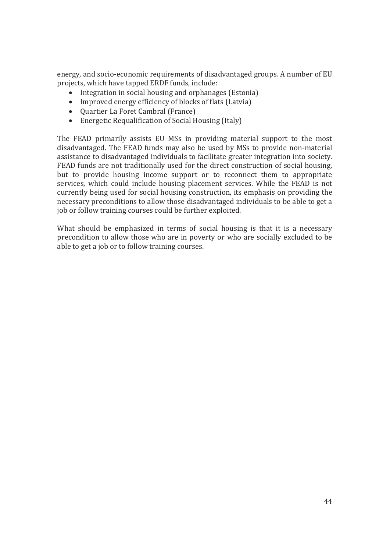energy, and socio-economic requirements of disadvantaged groups. A number of EU projects, which have tapped ERDF funds, include:

- $\bullet$  Integration in social housing and orphanages (Estonia)
- Improved energy efficiency of blocks of flats (Latvia)
- Quartier La Foret Cambral (France)
- $\bullet$  Energetic Requalification of Social Housing (Italy)

The FEAD primarily assists EU MSs in providing material support to the most disadvantaged. The FEAD funds may also be used by MSs to provide non-material assistance to disadvantaged individuals to facilitate greater integration into society. FEAD funds are not traditionally used for the direct construction of social housing, but to provide housing income support or to reconnect them to appropriate services, which could include housing placement services. While the FEAD is not currently being used for social housing construction, its emphasis on providing the necessary preconditions to allow those disadvantaged individuals to be able to get a job or follow training courses could be further exploited.

What should be emphasized in terms of social housing is that it is a necessary precondition to allow those who are in poverty or who are socially excluded to be able to get a job or to follow training courses.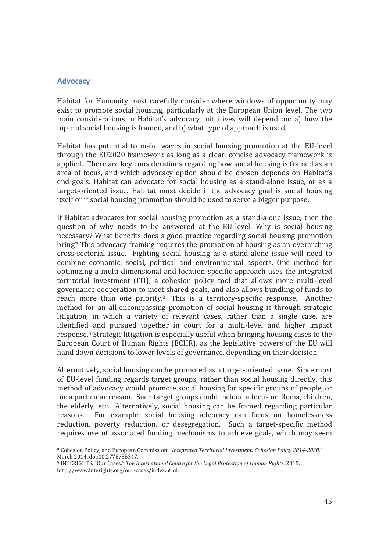#### **Advocacy**

l

Habitat for Humanity must carefully consider where windows of opportunity may exist to promote social housing, particularly at the European Union level. The two main considerations in Habitat's advocacy initiatives will depend on: a) how the topic of social housing is framed, and b) what type of approach is used.

Habitat has potential to make waves in social housing promotion at the EU-level through the EU2020 framework as long as a clear, concise advocacy framework is applied. There are key considerations regarding how social housing is framed as an area of focus, and which advocacy option should be chosen depends on Habitat's end goals. Habitat can advocate for social housing as a stand-alone issue, or as a target-oriented issue. Habitat must decide if the advocacy goal is social housing itself or if social housing promotion should be used to serve a bigger purpose.

If Habitat advocates for social housing promotion as a stand-alone issue, then the question of why needs to be answered at the EU-level. Why is social housing necessary? What benefits does a good practice regarding social housing promotion bring? This advocacy framing requires the promotion of housing as an overarching cross-sectorial issue. Fighting social housing as a stand-alone issue will need to combine economic, social, political and environmental aspects. One method for optimizing a multi-dimensional and location-specific approach uses the integrated territorial investment (ITI); a cohesion policy tool that allows more multi-level governance cooperation to meet shared goals, and also allows bundling of funds to reach more than one priority.8 This is a territory-specific response. Another method for an all-encompassing promotion of social housing is through strategic litigation, in which a variety of relevant cases, rather than a single case, are identified and pursued together in court for a multi-level and higher impact response.9 Strategic litigation is especially useful when bringing housing cases to the European Court of Human Rights (ECHR), as the legislative powers of the EU will hand down decisions to lower levels of governance, depending on their decision.

Alternatively, social housing can be promoted as a target-oriented issue. Since most of EU-level funding regards target groups, rather than social housing directly, this method of advocacy would promote social housing for specific groups of people, or for a particular reason. Such target groups could include a focus on Roma, children, the elderly, etc. Alternatively, social housing can be framed regarding particular reasons. For example, social housing advocacy can focus on homelessness reduction, poverty reduction, or desegregation. Such a target-specific method requires use of associated funding mechanisms to achieve goals, which may seem

<sup>8</sup> Cohesion Policy, and European Commission. *"Integrated Territorial Investment: Cohesion Policy 2014-2020,"*  March 2014. doi:10.2776/56347.

<sup>9</sup> INTERIGHTS. "Our Cases." *The International Centre for the Legal Protection of Human Rights*, 2015. http://www.interights.org/our-cases/index.html.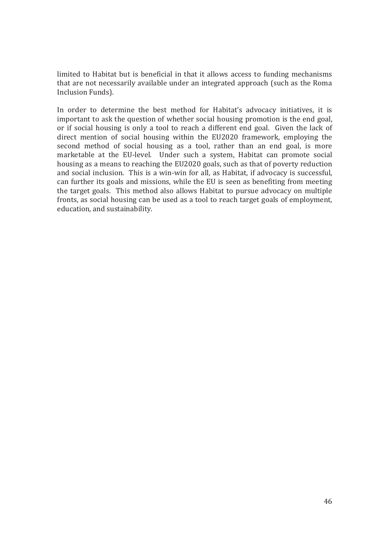limited to Habitat but is beneficial in that it allows access to funding mechanisms that are not necessarily available under an integrated approach (such as the Roma Inclusion Funds).

In order to determine the best method for Habitat's advocacy initiatives, it is important to ask the question of whether social housing promotion is the end goal, or if social housing is only a tool to reach a different end goal. Given the lack of direct mention of social housing within the EU2020 framework, employing the second method of social housing as a tool, rather than an end goal, is more marketable at the EU-level. Under such a system, Habitat can promote social housing as a means to reaching the EU2020 goals, such as that of poverty reduction and social inclusion. This is a win-win for all, as Habitat, if advocacy is successful, can further its goals and missions, while the EU is seen as benefiting from meeting the target goals. This method also allows Habitat to pursue advocacy on multiple fronts, as social housing can be used as a tool to reach target goals of employment, education, and sustainability.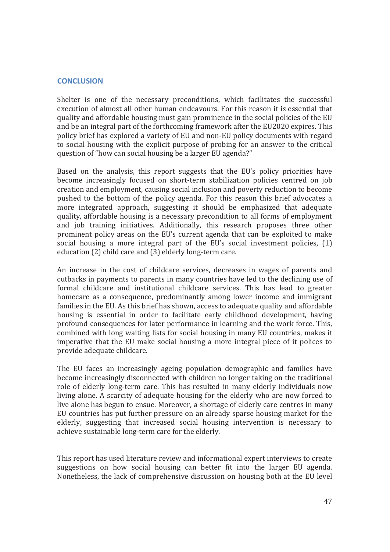#### **CONCLUSION**

Shelter is one of the necessary preconditions, which facilitates the successful execution of almost all other human endeavours. For this reason it is essential that quality and affordable housing must gain prominence in the social policies of the EU and be an integral part of the forthcoming framework after the EU2020 expires. This policy brief has explored a variety of EU and non-EU policy documents with regard to social housing with the explicit purpose of probing for an answer to the critical question of "how can social housing be a larger EU agenda?"

Based on the analysis, this report suggests that the EU's policy priorities have become increasingly focused on short-term stabilization policies centred on job creation and employment, causing social inclusion and poverty reduction to become pushed to the bottom of the policy agenda. For this reason this brief advocates a more integrated approach, suggesting it should be emphasized that adequate quality, affordable housing is a necessary precondition to all forms of employment and job training initiatives. Additionally, this research proposes three other prominent policy areas on the EU's current agenda that can be exploited to make social housing a more integral part of the EU's social investment policies, (1) education (2) child care and (3) elderly long-term care.

An increase in the cost of childcare services, decreases in wages of parents and cutbacks in payments to parents in many countries have led to the declining use of formal childcare and institutional childcare services. This has lead to greater homecare as a consequence, predominantly among lower income and immigrant families in the EU. As this brief has shown, access to adequate quality and affordable housing is essential in order to facilitate early childhood development, having profound consequences for later performance in learning and the work force. This, combined with long waiting lists for social housing in many EU countries, makes it imperative that the EU make social housing a more integral piece of it polices to provide adequate childcare.

The EU faces an increasingly ageing population demographic and families have become increasingly disconnected with children no longer taking on the traditional role of elderly long-term care. This has resulted in many elderly individuals now living alone. A scarcity of adequate housing for the elderly who are now forced to live alone has begun to ensue. Moreover, a shortage of elderly care centres in many EU countries has put further pressure on an already sparse housing market for the elderly, suggesting that increased social housing intervention is necessary to achieve sustainable long-term care for the elderly.

This report has used literature review and informational expert interviews to create suggestions on how social housing can better fit into the larger EU agenda. Nonetheless, the lack of comprehensive discussion on housing both at the EU level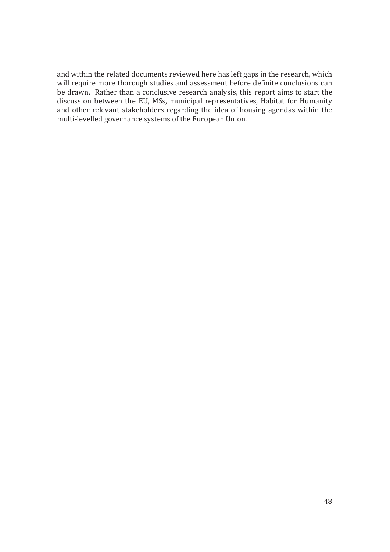and within the related documents reviewed here has left gaps in the research, which will require more thorough studies and assessment before definite conclusions can be drawn. Rather than a conclusive research analysis, this report aims to start the discussion between the EU, MSs, municipal representatives, Habitat for Humanity and other relevant stakeholders regarding the idea of housing agendas within the multi-levelled governance systems of the European Union.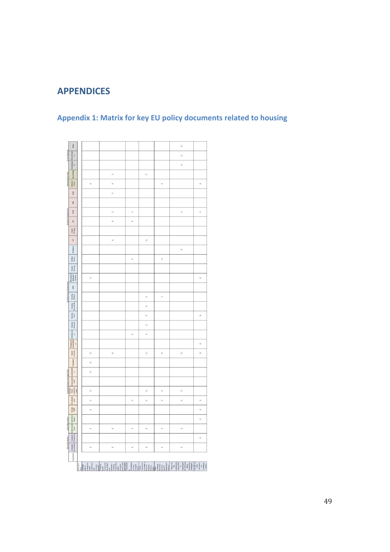# **APPENDICES**

|                                  | Roma                                                                                                                                                                                                                                          |                           |                                                                                                                                                                                                                                                                                                                                                                                                                                                                                                                                      |          |                          |                                            | $\boldsymbol{\ast}$                                                                                                  |                                                                                                                                                             |
|----------------------------------|-----------------------------------------------------------------------------------------------------------------------------------------------------------------------------------------------------------------------------------------------|---------------------------|--------------------------------------------------------------------------------------------------------------------------------------------------------------------------------------------------------------------------------------------------------------------------------------------------------------------------------------------------------------------------------------------------------------------------------------------------------------------------------------------------------------------------------------|----------|--------------------------|--------------------------------------------|----------------------------------------------------------------------------------------------------------------------|-------------------------------------------------------------------------------------------------------------------------------------------------------------|
| Social Indicators                |                                                                                                                                                                                                                                               |                           |                                                                                                                                                                                                                                                                                                                                                                                                                                                                                                                                      |          |                          |                                            | $\star$                                                                                                              |                                                                                                                                                             |
|                                  | tengregati Discriminati                                                                                                                                                                                                                       |                           |                                                                                                                                                                                                                                                                                                                                                                                                                                                                                                                                      |          |                          |                                            | $\ast$                                                                                                               |                                                                                                                                                             |
|                                  | Social Policy                                                                                                                                                                                                                                 |                           | $\!\times\!$                                                                                                                                                                                                                                                                                                                                                                                                                                                                                                                         |          | ×                        |                                            |                                                                                                                      |                                                                                                                                                             |
| Relevant Policy Area             | Cohesion                                                                                                                                                                                                                                      | $\times$                  | $_{\rm x}$                                                                                                                                                                                                                                                                                                                                                                                                                                                                                                                           |          |                          | ×                                          |                                                                                                                      | $\boldsymbol{\times}$                                                                                                                                       |
|                                  | FEAD                                                                                                                                                                                                                                          |                           | $\!\times\!$                                                                                                                                                                                                                                                                                                                                                                                                                                                                                                                         |          |                          |                                            |                                                                                                                      |                                                                                                                                                             |
|                                  | 128                                                                                                                                                                                                                                           |                           |                                                                                                                                                                                                                                                                                                                                                                                                                                                                                                                                      |          |                          |                                            |                                                                                                                      |                                                                                                                                                             |
|                                  | 1008                                                                                                                                                                                                                                          |                           |                                                                                                                                                                                                                                                                                                                                                                                                                                                                                                                                      |          |                          |                                            |                                                                                                                      |                                                                                                                                                             |
| Relevant Strategy/Fund           |                                                                                                                                                                                                                                               |                           | $\overline{\mathbf{x}}$                                                                                                                                                                                                                                                                                                                                                                                                                                                                                                              | $\times$ |                          |                                            | $^{\times}$                                                                                                          | $^{\times}$                                                                                                                                                 |
|                                  | ø                                                                                                                                                                                                                                             |                           | $\star$                                                                                                                                                                                                                                                                                                                                                                                                                                                                                                                              | ×        |                          |                                            |                                                                                                                      |                                                                                                                                                             |
|                                  | Usban<br>Strategy                                                                                                                                                                                                                             |                           |                                                                                                                                                                                                                                                                                                                                                                                                                                                                                                                                      |          |                          |                                            |                                                                                                                      |                                                                                                                                                             |
|                                  | $\frac{1}{2}$                                                                                                                                                                                                                                 |                           | $\ddot{\phantom{a}}$                                                                                                                                                                                                                                                                                                                                                                                                                                                                                                                 |          | $\overline{\phantom{a}}$ |                                            |                                                                                                                      |                                                                                                                                                             |
|                                  | Minorities                                                                                                                                                                                                                                    |                           |                                                                                                                                                                                                                                                                                                                                                                                                                                                                                                                                      |          |                          |                                            | $_{\rm \star}$                                                                                                       |                                                                                                                                                             |
|                                  | Wettere                                                                                                                                                                                                                                       |                           |                                                                                                                                                                                                                                                                                                                                                                                                                                                                                                                                      | ×        |                          | ×                                          |                                                                                                                      |                                                                                                                                                             |
|                                  | Private<br>Housing                                                                                                                                                                                                                            |                           |                                                                                                                                                                                                                                                                                                                                                                                                                                                                                                                                      |          |                          |                                            |                                                                                                                      |                                                                                                                                                             |
|                                  | Affordable/<br>Adequate<br>Housing                                                                                                                                                                                                            | $\star$                   |                                                                                                                                                                                                                                                                                                                                                                                                                                                                                                                                      |          |                          |                                            |                                                                                                                      | ×                                                                                                                                                           |
| Context of Housing Discussion    | $$\sf{S0As}$$                                                                                                                                                                                                                                 |                           |                                                                                                                                                                                                                                                                                                                                                                                                                                                                                                                                      |          |                          |                                            |                                                                                                                      |                                                                                                                                                             |
|                                  | Housing<br>Markets                                                                                                                                                                                                                            |                           |                                                                                                                                                                                                                                                                                                                                                                                                                                                                                                                                      |          | $\overline{\phantom{a}}$ | $\overline{\phantom{a}}$                   |                                                                                                                      |                                                                                                                                                             |
|                                  | Housing<br>Accessibly                                                                                                                                                                                                                         |                           |                                                                                                                                                                                                                                                                                                                                                                                                                                                                                                                                      |          | $\,$                     |                                            |                                                                                                                      |                                                                                                                                                             |
|                                  | Housing<br>Critics                                                                                                                                                                                                                            |                           |                                                                                                                                                                                                                                                                                                                                                                                                                                                                                                                                      |          | $^{\times}$              |                                            |                                                                                                                      | $^{\times}$                                                                                                                                                 |
|                                  |                                                                                                                                                                                                                                               |                           |                                                                                                                                                                                                                                                                                                                                                                                                                                                                                                                                      |          | $^{\star}$               |                                            |                                                                                                                      |                                                                                                                                                             |
|                                  |                                                                                                                                                                                                                                               |                           |                                                                                                                                                                                                                                                                                                                                                                                                                                                                                                                                      | ×        | $\overline{\phantom{a}}$ |                                            |                                                                                                                      |                                                                                                                                                             |
|                                  | $\begin{tabular}{ c c c c } \hline \textbf{Levin} & \textbf{Pervin} & \textbf{Hun} & \textbf{Hun} & \textbf{Hun} \\ \hline \textbf{Inclusion} & \textbf{Sunnimull} & \textbf{Hun} & \textbf{Hun} & \textbf{Hun} \\ \hline \end{tabular}$<br>× |                           |                                                                                                                                                                                                                                                                                                                                                                                                                                                                                                                                      |          |                          |                                            |                                                                                                                      | ×                                                                                                                                                           |
|                                  |                                                                                                                                                                                                                                               | $_{\rm x}$                | $^{\star}$                                                                                                                                                                                                                                                                                                                                                                                                                                                                                                                           |          | $\star$                  | ×                                          | $^{\star}$                                                                                                           | $\boldsymbol{\mathsf{x}}$                                                                                                                                   |
|                                  | <b>Inconstruction</b>                                                                                                                                                                                                                         | $_{\rm x}$                |                                                                                                                                                                                                                                                                                                                                                                                                                                                                                                                                      |          |                          |                                            |                                                                                                                      |                                                                                                                                                             |
|                                  |                                                                                                                                                                                                                                               | $\boldsymbol{\mathsf{x}}$ |                                                                                                                                                                                                                                                                                                                                                                                                                                                                                                                                      |          |                          |                                            |                                                                                                                      |                                                                                                                                                             |
|                                  |                                                                                                                                                                                                                                               |                           |                                                                                                                                                                                                                                                                                                                                                                                                                                                                                                                                      |          |                          |                                            |                                                                                                                      |                                                                                                                                                             |
|                                  |                                                                                                                                                                                                                                               |                           |                                                                                                                                                                                                                                                                                                                                                                                                                                                                                                                                      |          |                          |                                            |                                                                                                                      |                                                                                                                                                             |
|                                  |                                                                                                                                                                                                                                               | $\cdot$                   |                                                                                                                                                                                                                                                                                                                                                                                                                                                                                                                                      |          | ×                        | $\mathbf{x}$                               | $\ddot{\phantom{1}}$                                                                                                 |                                                                                                                                                             |
|                                  | EU (macro)                                                                                                                                                                                                                                    | $\overline{\phantom{a}}$  |                                                                                                                                                                                                                                                                                                                                                                                                                                                                                                                                      | ×        | $\boldsymbol{\times}$    | ×                                          | $\overline{\phantom{a}}$                                                                                             | ×                                                                                                                                                           |
|                                  | turepe<br>2000                                                                                                                                                                                                                                | ×                         |                                                                                                                                                                                                                                                                                                                                                                                                                                                                                                                                      |          |                          |                                            |                                                                                                                      | $\ddot{ }$                                                                                                                                                  |
|                                  | Committee                                                                                                                                                                                                                                     |                           |                                                                                                                                                                                                                                                                                                                                                                                                                                                                                                                                      |          |                          |                                            |                                                                                                                      | ×                                                                                                                                                           |
| Document Author Type of Document |                                                                                                                                                                                                                                               | ×                         | ×                                                                                                                                                                                                                                                                                                                                                                                                                                                                                                                                    | $\times$ | ×                        | ×                                          | ×                                                                                                                    |                                                                                                                                                             |
|                                  |                                                                                                                                                                                                                                               |                           |                                                                                                                                                                                                                                                                                                                                                                                                                                                                                                                                      |          |                          |                                            |                                                                                                                      | $_{\rm \star}$                                                                                                                                              |
|                                  |                                                                                                                                                                                                                                               | ×                         | ×                                                                                                                                                                                                                                                                                                                                                                                                                                                                                                                                    | ×        | $_{\rm \times}$          | ×                                          | ×                                                                                                                    |                                                                                                                                                             |
|                                  | Key Words: Commission   European   Commission                                                                                                                                                                                                 |                           |                                                                                                                                                                                                                                                                                                                                                                                                                                                                                                                                      |          |                          |                                            |                                                                                                                      |                                                                                                                                                             |
|                                  |                                                                                                                                                                                                                                               | inclusive                 | Europeen<br>Secial Fond<br>2014-2020<br>Toerfrontle<br>$\begin{tabular}{ c c } \hline \hline \multicolumn{3}{ c }{\multicolumn{3}{ c }{\multicolumn{3}{ c }{\multicolumn{3}{ c }{\multicolumn{3}{ c }{\multicolumn{3}{ c }{\multicolumn{3}{ c }{\multicolumn{3}{ c }{\multicolumn{3}{ c }{\multicolumn{3}{ c }{\multicolumn{3}{ c }{\multicolumn{3}{ c }{\multicolumn{3}{ c }{\multicolumn{3}{ c }{\multicolumn{3}{ c }{\multicolumn{3}{ c }{\multicolumn{3}{ c }{\multicolumn{3}{ c }{\multicolumn$<br>growth."<br>ng the<br>Social |          |                          | emester<br>Country<br>Specific<br>dations" | implemental<br>San of the<br>Framework<br>"Report on<br>for National<br>Integration<br>Roma<br>Stateges"<br>a<br>the | $\begin{array}{l} \text{HPOIT on}\\ \text{1001} \\ \text{1101} \\ \text{121} \\ \text{131} \\ \text{141} \\ \text{151} \\ \text{161} \end{array}$<br>Union" |
|                                  |                                                                                                                                                                                                                                               |                           |                                                                                                                                                                                                                                                                                                                                                                                                                                                                                                                                      |          |                          |                                            |                                                                                                                      |                                                                                                                                                             |

# **Appendix 1: Matrix for key EU policy documents related to housing**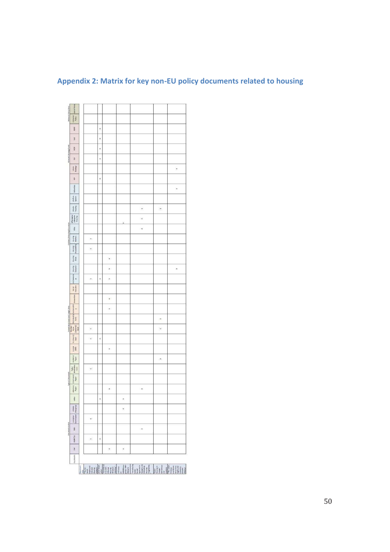# **Appendix 2: Matrix for key non-EU policy documents related to housing**

|                                | Social Policy                                                                                                                                                                                                                                                                                                                                                                              |                                  |   |                      |                                           |                       |                       |                         |
|--------------------------------|--------------------------------------------------------------------------------------------------------------------------------------------------------------------------------------------------------------------------------------------------------------------------------------------------------------------------------------------------------------------------------------------|----------------------------------|---|----------------------|-------------------------------------------|-----------------------|-----------------------|-------------------------|
| Referant Policy Area           | Cohesion                                                                                                                                                                                                                                                                                                                                                                                   |                                  |   |                      |                                           |                       |                       |                         |
| Referant Strategy/Fund         | FEAD                                                                                                                                                                                                                                                                                                                                                                                       |                                  | × |                      |                                           |                       |                       |                         |
|                                | EASI                                                                                                                                                                                                                                                                                                                                                                                       |                                  | × |                      |                                           |                       |                       |                         |
|                                | ERDF                                                                                                                                                                                                                                                                                                                                                                                       |                                  | ù |                      |                                           |                       |                       |                         |
|                                | ESE .                                                                                                                                                                                                                                                                                                                                                                                      |                                  | × |                      |                                           |                       |                       |                         |
|                                | Usbon<br>Strategy                                                                                                                                                                                                                                                                                                                                                                          |                                  |   |                      |                                           |                       |                       | $_{\rm x}$              |
|                                | S <sup>p</sup>                                                                                                                                                                                                                                                                                                                                                                             |                                  | × |                      |                                           |                       |                       |                         |
|                                | Minester                                                                                                                                                                                                                                                                                                                                                                                   |                                  |   |                      |                                           |                       |                       | $\overline{\mathbf{x}}$ |
|                                | Welling                                                                                                                                                                                                                                                                                                                                                                                    |                                  |   |                      |                                           |                       |                       |                         |
|                                | Private<br>Housing                                                                                                                                                                                                                                                                                                                                                                         |                                  |   |                      |                                           | $_{\rm x}$            | $\star$               |                         |
|                                | Affordable)<br>Adequate<br>Housing                                                                                                                                                                                                                                                                                                                                                         |                                  |   |                      |                                           | $\ddot{\phantom{1}}$  |                       |                         |
|                                | <b>SRAS</b>                                                                                                                                                                                                                                                                                                                                                                                |                                  |   |                      |                                           | $\,$                  |                       |                         |
| Contrast of Housing Discussion | missing anosing anosing<br>prices present and present                                                                                                                                                                                                                                                                                                                                      | $^{\times}$                      |   |                      |                                           |                       |                       |                         |
|                                |                                                                                                                                                                                                                                                                                                                                                                                            | $\ast$                           |   |                      |                                           |                       |                       |                         |
|                                |                                                                                                                                                                                                                                                                                                                                                                                            |                                  |   | $\mathbf{z}$         |                                           |                       |                       |                         |
|                                | Housing<br>Exclusion                                                                                                                                                                                                                                                                                                                                                                       |                                  |   | ×                    |                                           |                       |                       | ×                       |
|                                | Homelesse<br>×                                                                                                                                                                                                                                                                                                                                                                             | $\mathbf{x}$                     | × | ×                    |                                           |                       |                       |                         |
|                                | Social                                                                                                                                                                                                                                                                                                                                                                                     |                                  |   |                      |                                           |                       |                       |                         |
|                                | $[1.00208] \centering \begin{tabular}{ l l l l } \hline & Cocentorance control and Taylor A data \\ \hline & D10 (more) & State \\ \hline & State & State \\ \hline & State & private \\ \hline \end{tabular}$                                                                                                                                                                             |                                  |   | $\hat{\mathbf{x}}$   |                                           |                       |                       |                         |
|                                |                                                                                                                                                                                                                                                                                                                                                                                            |                                  |   | $\star$              |                                           |                       |                       |                         |
|                                |                                                                                                                                                                                                                                                                                                                                                                                            |                                  |   |                      |                                           |                       | ×                     |                         |
|                                | <b><i>level</i></b>                                                                                                                                                                                                                                                                                                                                                                        | $^{\star}$                       |   |                      |                                           |                       | $\check{\phantom{a}}$ |                         |
|                                |                                                                                                                                                                                                                                                                                                                                                                                            | $_{\times}$                      | × |                      |                                           |                       |                       |                         |
|                                |                                                                                                                                                                                                                                                                                                                                                                                            |                                  |   | ×                    |                                           |                       |                       |                         |
|                                | Academic<br><b>Paper</b>                                                                                                                                                                                                                                                                                                                                                                   |                                  |   |                      |                                           |                       | $\,$ $\,$             |                         |
| Type of Document               | $\begin{tabular}{ c c c } \hline & & $10151$ \\ \hline & & $10161$ \\ \hline \end{tabular} \begin{tabular}{ c c c } \hline & $10151$ \\ \hline & $10161$ \\ \hline & $10161$ \\ \hline & $10161$ \\ \hline & $10161$ \\ \hline & $10161$ \\ \hline & $10161$ \\ \hline & $10161$ \\ \hline & $10161$ \\ \hline & $10161$ \\ \hline & $10161$ \\ \hline & $10161$ \\ \hline & $10161$ \\ \$ | $_{\rm \times}$                  |   |                      |                                           |                       |                       |                         |
|                                |                                                                                                                                                                                                                                                                                                                                                                                            |                                  |   |                      |                                           |                       |                       |                         |
|                                |                                                                                                                                                                                                                                                                                                                                                                                            |                                  |   | $\ddot{\phantom{1}}$ |                                           | $\,$ $\,$             |                       |                         |
|                                | letter                                                                                                                                                                                                                                                                                                                                                                                     |                                  | × |                      | ×                                         |                       |                       |                         |
| <b>Document Author</b>         | Turopean URBAN<br>Commission Intergroup                                                                                                                                                                                                                                                                                                                                                    |                                  |   |                      | ×                                         |                       |                       |                         |
|                                |                                                                                                                                                                                                                                                                                                                                                                                            | $_\times$                        |   |                      |                                           |                       |                       |                         |
|                                | MRI                                                                                                                                                                                                                                                                                                                                                                                        |                                  |   |                      |                                           | $\boldsymbol{\times}$ |                       |                         |
|                                | FEARTSA                                                                                                                                                                                                                                                                                                                                                                                    |                                  | × |                      |                                           |                       |                       |                         |
|                                | E                                                                                                                                                                                                                                                                                                                                                                                          |                                  |   | ×                    | ř                                         |                       |                       |                         |
|                                | Key Words:                                                                                                                                                                                                                                                                                                                                                                                 | <b>Anilli</b><br><b>Oogument</b> |   |                      | on<br>URBANISHT<br>group MEP<br>Ollerycht | Huih Ku               |                       |                         |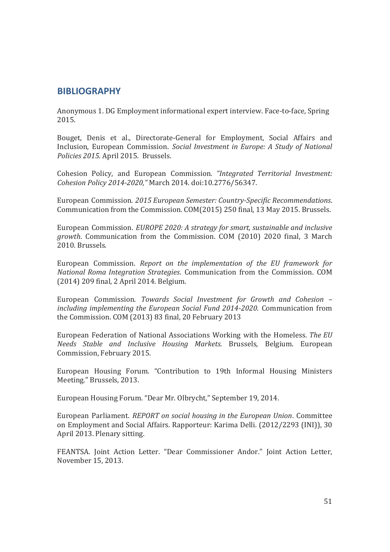## **BIBLIOGRAPHY**

Anonymous 1. DG Employment informational expert interview. Face-to-face, Spring 2015.

Bouget, Denis et al., Directorate-General for Employment, Social Affairs and Inclusion, European Commission. *Social Investment in Europe: A Study of National Policies 2015.* April 2015. Brussels.

Cohesion Policy, and European Commission. *"Integrated Territorial Investment: Cohesion Policy 2014-2020,"* March 2014. doi:10.2776/56347.

European Commission. *2015 European Semester: Country-Specific Recommendations*. Communication from the Commission. COM(2015) 250 final, 13 May 2015. Brussels.

European Commission. *EUROPE 2020: A strategy for smart, sustainable and inclusive growth*. Communication from the Commission. COM (2010) 2020 final, 3 March 2010. Brussels.

European Commission. *Report on the implementation of the EU framework for National Roma Integration Strategies*. Communication from the Commission. COM (2014) 209 final, 2 April 2014. Belgium.

European Commission. *Towards Social Investment for Growth and Cohesion – including implementing the European Social Fund 2014-2020*. Communication from the Commission. COM (2013) 83 final, 20 February 2013

European Federation of National Associations Working with the Homeless*. The EU Needs Stable and Inclusive Housing Markets.* Brussels, Belgium. European Commission, February 2015.

European Housing Forum. "Contribution to 19th Informal Housing Ministers Meeting." Brussels, 2013.

European Housing Forum. "Dear Mr. Olbrycht," September 19, 2014.

European Parliament. *REPORT on social housing in the European Union*. Committee on Employment and Social Affairs. Rapporteur: Karima Delli. (2012/2293 (INI)), 30 April 2013. Plenary sitting.

FEANTSA. Joint Action Letter. "Dear Commissioner Andor." Joint Action Letter, November 15, 2013.